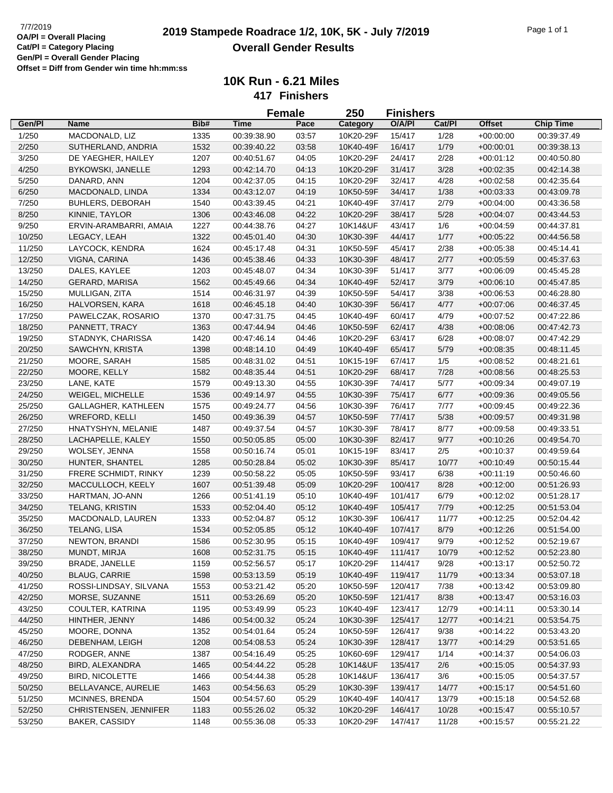|        |                         |      |             | <b>Female</b> | 250       | <b>Finishers</b> |        |               |                  |
|--------|-------------------------|------|-------------|---------------|-----------|------------------|--------|---------------|------------------|
| Gen/Pl | Name                    | Bib# | Time        | Pace          | Category  | O/A/PI           | Cat/Pl | <b>Offset</b> | <b>Chip Time</b> |
| 1/250  | MACDONALD, LIZ          | 1335 | 00:39:38.90 | 03:57         | 10K20-29F | 15/417           | 1/28   | $+00:00:00$   | 00:39:37.49      |
| 2/250  | SUTHERLAND, ANDRIA      | 1532 | 00:39:40.22 | 03:58         | 10K40-49F | 16/417           | 1/79   | $+00:00:01$   | 00:39:38.13      |
| 3/250  | DE YAEGHER, HAILEY      | 1207 | 00:40:51.67 | 04:05         | 10K20-29F | 24/417           | 2/28   | $+00:01:12$   | 00:40:50.80      |
| 4/250  | BYKOWSKI, JANELLE       | 1293 | 00:42:14.70 | 04:13         | 10K20-29F | 31/417           | 3/28   | $+00:02:35$   | 00:42:14.38      |
| 5/250  | DANARD, ANN             | 1204 | 00:42:37.05 | 04:15         | 10K20-29F | 32/417           | 4/28   | $+00:02:58$   | 00:42:35.64      |
| 6/250  | MACDONALD, LINDA        | 1334 | 00:43:12.07 | 04:19         | 10K50-59F | 34/417           | 1/38   | $+00:03:33$   | 00:43:09.78      |
| 7/250  | <b>BUHLERS, DEBORAH</b> | 1540 | 00:43:39.45 | 04:21         | 10K40-49F | 37/417           | 2/79   | $+00:04:00$   | 00:43:36.58      |
| 8/250  | KINNIE, TAYLOR          | 1306 | 00:43:46.08 | 04:22         | 10K20-29F | 38/417           | 5/28   | $+00:04:07$   | 00:43:44.53      |
| 9/250  | ERVIN-ARAMBARRI, AMAIA  | 1227 | 00:44:38.76 | 04:27         | 10K14&UF  | 43/417           | 1/6    | $+00:04:59$   | 00:44:37.81      |
| 10/250 | LEGACY, LEAH            | 1322 | 00:45:01.40 | 04:30         | 10K30-39F | 44/417           | 1/77   | $+00:05:22$   | 00:44:56.58      |
| 11/250 | LAYCOCK, KENDRA         | 1624 | 00:45:17.48 | 04:31         | 10K50-59F | 45/417           | 2/38   | $+00:05:38$   | 00:45:14.41      |
| 12/250 | VIGNA, CARINA           | 1436 | 00:45:38.46 | 04:33         | 10K30-39F | 48/417           | 2/77   | $+00:05:59$   | 00:45:37.63      |
| 13/250 | DALES, KAYLEE           | 1203 | 00:45:48.07 | 04:34         | 10K30-39F | 51/417           | 3/77   | $+00:06:09$   | 00:45:45.28      |
| 14/250 | <b>GERARD, MARISA</b>   | 1562 | 00:45:49.66 | 04:34         | 10K40-49F | 52/417           | 3/79   | $+00:06:10$   | 00:45:47.85      |
| 15/250 | MULLIGAN, ZITA          | 1514 | 00:46:31.97 | 04:39         | 10K50-59F | 54/417           | 3/38   | $+00:06:53$   | 00:46:28.80      |
| 16/250 | HALVORSEN, KARA         | 1618 | 00:46:45.18 | 04:40         | 10K30-39F | 56/417           | 4/77   | $+00:07:06$   | 00:46:37.45      |
|        |                         |      |             |               |           |                  |        |               |                  |
| 17/250 | PAWELCZAK, ROSARIO      | 1370 | 00:47:31.75 | 04:45         | 10K40-49F | 60/417           | 4/79   | $+00:07:52$   | 00:47:22.86      |
| 18/250 | PANNETT, TRACY          | 1363 | 00:47:44.94 | 04:46         | 10K50-59F | 62/417           | 4/38   | $+00:08:06$   | 00:47:42.73      |
| 19/250 | STADNYK, CHARISSA       | 1420 | 00:47:46.14 | 04:46         | 10K20-29F | 63/417           | 6/28   | $+00:08:07$   | 00:47:42.29      |
| 20/250 | SAWCHYN, KRISTA         | 1398 | 00:48:14.10 | 04:49         | 10K40-49F | 65/417           | 5/79   | $+00:08:35$   | 00:48:11.45      |
| 21/250 | MOORE, SARAH            | 1585 | 00:48:31.02 | 04:51         | 10K15-19F | 67/417           | 1/5    | $+00:08:52$   | 00:48:21.61      |
| 22/250 | MOORE, KELLY            | 1582 | 00:48:35.44 | 04:51         | 10K20-29F | 68/417           | 7/28   | $+00:08:56$   | 00:48:25.53      |
| 23/250 | LANE, KATE              | 1579 | 00:49:13.30 | 04:55         | 10K30-39F | 74/417           | 5/77   | $+00:09:34$   | 00:49:07.19      |
| 24/250 | WEIGEL, MICHELLE        | 1536 | 00:49:14.97 | 04:55         | 10K30-39F | 75/417           | 6/77   | $+00:09:36$   | 00:49:05.56      |
| 25/250 | GALLAGHER, KATHLEEN     | 1575 | 00:49:24.77 | 04:56         | 10K30-39F | 76/417           | 7/77   | $+00:09:45$   | 00:49:22.36      |
| 26/250 | <b>WREFORD, KELLI</b>   | 1450 | 00:49:36.39 | 04:57         | 10K50-59F | 77/417           | 5/38   | $+00:09:57$   | 00:49:31.98      |
| 27/250 | HNATYSHYN, MELANIE      | 1487 | 00:49:37.54 | 04:57         | 10K30-39F | 78/417           | 8/77   | $+00:09:58$   | 00:49:33.51      |
| 28/250 | LACHAPELLE, KALEY       | 1550 | 00:50:05.85 | 05:00         | 10K30-39F | 82/417           | 9/77   | $+00:10:26$   | 00:49:54.70      |
| 29/250 | WOLSEY, JENNA           | 1558 | 00:50:16.74 | 05:01         | 10K15-19F | 83/417           | 2/5    | $+00:10:37$   | 00:49:59.64      |
| 30/250 | HUNTER, SHANTEL         | 1285 | 00:50:28.84 | 05:02         | 10K30-39F | 85/417           | 10/77  | $+00:10:49$   | 00:50:15.44      |
| 31/250 | FRERE SCHMIDT, RINKY    | 1239 | 00:50:58.22 | 05:05         | 10K50-59F | 93/417           | 6/38   | $+00:11:19$   | 00:50:46.60      |
| 32/250 | MACCULLOCH, KEELY       | 1607 | 00:51:39.48 | 05:09         | 10K20-29F | 100/417          | 8/28   | $+00:12:00$   | 00:51:26.93      |
| 33/250 | HARTMAN, JO-ANN         | 1266 | 00:51:41.19 | 05:10         | 10K40-49F | 101/417          | 6/79   | $+00:12:02$   | 00:51:28.17      |
| 34/250 | <b>TELANG, KRISTIN</b>  | 1533 | 00:52:04.40 | 05:12         | 10K40-49F | 105/417          | 7/79   | $+00:12:25$   | 00:51:53.04      |
| 35/250 | MACDONALD, LAUREN       | 1333 | 00:52:04.87 | 05:12         | 10K30-39F | 106/417          | 11/77  | $+00:12:25$   | 00:52:04.42      |
| 36/250 | TELANG, LISA            | 1534 | 00:52:05.85 | 05:12         | 10K40-49F | 107/417          | 8/79   | $+00:12:26$   | 00:51:54.00      |
| 37/250 | NEWTON, BRANDI          | 1586 | 00:52:30.95 | 05:15         | 10K40-49F | 109/417          | 9/79   | $+00:12:52$   | 00:52:19.67      |
| 38/250 | MUNDT, MIRJA            | 1608 | 00:52:31.75 | 05:15         | 10K40-49F | 111/417          | 10/79  | $+00:12:52$   | 00:52:23.80      |
| 39/250 | BRADE, JANELLE          | 1159 | 00:52:56.57 | 05:17         | 10K20-29F | 114/417          | 9/28   | $+00:13:17$   | 00:52:50.72      |
| 40/250 | <b>BLAUG, CARRIE</b>    | 1598 | 00:53:13.59 | 05:19         | 10K40-49F | 119/417          | 11/79  | $+00:13:34$   | 00:53:07.18      |
| 41/250 | ROSSI-LINDSAY, SILVANA  | 1553 | 00:53:21.42 | 05:20         | 10K50-59F | 120/417          | 7/38   | $+00:13:42$   | 00:53:09.80      |
| 42/250 | MORSE, SUZANNE          | 1511 | 00:53:26.69 | 05:20         | 10K50-59F | 121/417          | 8/38   | $+00:13:47$   | 00:53:16.03      |
| 43/250 | COULTER, KATRINA        | 1195 | 00:53:49.99 | 05:23         | 10K40-49F | 123/417          | 12/79  | $+00:14:11$   | 00:53:30.14      |
| 44/250 | HINTHER, JENNY          | 1486 | 00:54:00.32 | 05:24         | 10K30-39F | 125/417          | 12/77  | $+00:14:21$   | 00:53:54.75      |
| 45/250 | MOORE, DONNA            | 1352 | 00:54:01.64 | 05:24         | 10K50-59F | 126/417          | 9/38   | $+00:14:22$   | 00:53:43.20      |
| 46/250 | DEBENHAM, LEIGH         | 1208 | 00:54:08.53 | 05:24         | 10K30-39F | 128/417          | 13/77  | $+00:14:29$   | 00:53:51.65      |
| 47/250 | RODGER, ANNE            | 1387 | 00:54:16.49 | 05:25         | 10K60-69F | 129/417          | 1/14   | $+00:14:37$   | 00:54:06.03      |
| 48/250 | BIRD, ALEXANDRA         | 1465 | 00:54:44.22 | 05:28         | 10K14&UF  | 135/417          | 2/6    | $+00:15:05$   | 00:54:37.93      |
| 49/250 | <b>BIRD, NICOLETTE</b>  | 1466 | 00:54:44.38 | 05:28         | 10K14&UF  | 136/417          | 3/6    | $+00:15:05$   | 00:54:37.57      |
| 50/250 | BELLAVANCE, AURELIE     | 1463 | 00:54:56.63 | 05:29         | 10K30-39F | 139/417          | 14/77  | $+00:15:17$   | 00:54:51.60      |
| 51/250 | MCINNES, BRENDA         | 1504 | 00:54:57.60 | 05:29         | 10K40-49F | 140/417          | 13/79  | $+00:15:18$   | 00:54:52.68      |
| 52/250 | CHRISTENSEN, JENNIFER   | 1183 | 00:55:26.02 | 05:32         | 10K20-29F | 146/417          | 10/28  | $+00:15:47$   | 00:55:10.57      |
| 53/250 | BAKER, CASSIDY          | 1148 | 00:55:36.08 | 05:33         | 10K20-29F | 147/417          | 11/28  | $+00:15:57$   | 00:55:21.22      |
|        |                         |      |             |               |           |                  |        |               |                  |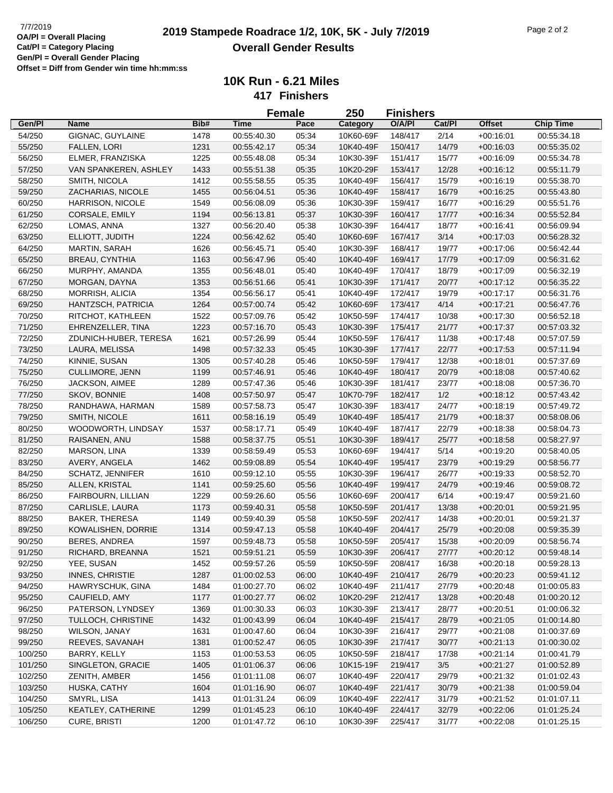|         |                         |      |             | <b>Female</b> | 250       | <b>Finishers</b>   |        |                            |                            |
|---------|-------------------------|------|-------------|---------------|-----------|--------------------|--------|----------------------------|----------------------------|
| Gen/Pl  | <b>Name</b>             | Bib# | <b>Time</b> | Pace          | Category  | O/A/PI             | Cat/Pl | <b>Offset</b>              | <b>Chip Time</b>           |
| 54/250  | GIGNAC, GUYLAINE        | 1478 | 00:55:40.30 | 05:34         | 10K60-69F | 148/417            | 2/14   | $+00.16:01$                | 00:55:34.18                |
| 55/250  | <b>FALLEN, LORI</b>     | 1231 | 00:55:42.17 | 05:34         | 10K40-49F | 150/417            | 14/79  | $+00:16:03$                | 00:55:35.02                |
| 56/250  | ELMER, FRANZISKA        | 1225 | 00:55:48.08 | 05:34         | 10K30-39F | 151/417            | 15/77  | $+00:16:09$                | 00:55:34.78                |
| 57/250  | VAN SPANKEREN, ASHLEY   | 1433 | 00:55:51.38 | 05:35         | 10K20-29F | 153/417            | 12/28  | $+00:16:12$                | 00:55:11.79                |
| 58/250  | SMITH, NICOLA           | 1412 | 00:55:58.55 | 05:35         | 10K40-49F | 156/417            | 15/79  | $+00:16:19$                | 00:55:38.70                |
| 59/250  | ZACHARIAS, NICOLE       | 1455 | 00:56:04.51 | 05:36         | 10K40-49F | 158/417            | 16/79  | $+00:16:25$                | 00:55:43.80                |
| 60/250  | HARRISON, NICOLE        | 1549 | 00:56:08.09 | 05:36         | 10K30-39F | 159/417            | 16/77  | $+00:16:29$                | 00:55:51.76                |
| 61/250  | CORSALE, EMILY          | 1194 | 00:56:13.81 | 05:37         | 10K30-39F | 160/417            | 17/77  | $+00:16:34$                | 00:55:52.84                |
| 62/250  | LOMAS, ANNA             | 1327 | 00:56:20.40 | 05:38         | 10K30-39F | 164/417            | 18/77  | $+00:16:41$                | 00:56:09.94                |
| 63/250  | ELLIOTT, JUDITH         | 1224 | 00:56:42.62 | 05:40         | 10K60-69F | 167/417            | 3/14   | $+00:17:03$                | 00:56:28.32                |
| 64/250  | <b>MARTIN, SARAH</b>    | 1626 | 00:56:45.71 | 05:40         | 10K30-39F | 168/417            | 19/77  | $+00:17:06$                | 00:56:42.44                |
| 65/250  | <b>BREAU, CYNTHIA</b>   | 1163 | 00:56:47.96 | 05:40         | 10K40-49F | 169/417            | 17/79  | $+00:17:09$                | 00:56:31.62                |
| 66/250  | MURPHY, AMANDA          | 1355 | 00:56:48.01 | 05:40         | 10K40-49F | 170/417            | 18/79  | $+00:17:09$                | 00:56:32.19                |
| 67/250  | MORGAN, DAYNA           | 1353 | 00:56:51.66 | 05:41         | 10K30-39F | 171/417            | 20/77  | $+00:17:12$                | 00:56:35.22                |
| 68/250  | MORRISH, ALICIA         | 1354 | 00:56:56.17 | 05:41         | 10K40-49F | 172/417            | 19/79  | $+00:17:17$                | 00:56:31.76                |
| 69/250  | HANTZSCH, PATRICIA      | 1264 | 00:57:00.74 | 05:42         | 10K60-69F | 173/417            | 4/14   | $+00:17:21$                | 00:56:47.76                |
| 70/250  | RITCHOT, KATHLEEN       | 1522 | 00:57:09.76 | 05:42         | 10K50-59F | 174/417            | 10/38  | $+00:17:30$                | 00:56:52.18                |
| 71/250  | EHRENZELLER, TINA       | 1223 | 00:57:16.70 | 05:43         | 10K30-39F | 175/417            | 21/77  | $+00:17:37$                | 00:57:03.32                |
| 72/250  | ZDUNICH-HUBER, TERESA   | 1621 | 00:57:26.99 | 05:44         | 10K50-59F | 176/417            | 11/38  | $+00:17:48$                | 00:57:07.59                |
|         |                         |      |             |               |           |                    |        |                            |                            |
| 73/250  | LAURA, MELISSA          | 1498 | 00:57:32.33 | 05:45         | 10K30-39F | 177/417<br>179/417 | 22/77  | $+00:17:53$                | 00:57:11.94<br>00:57:37.69 |
| 74/250  | KINNIE, SUSAN           | 1305 | 00:57:40.28 | 05:46         | 10K50-59F |                    | 12/38  | $+00:18:01$<br>$+00:18:08$ |                            |
| 75/250  | CULLIMORE, JENN         | 1199 | 00:57:46.91 | 05:46         | 10K40-49F | 180/417            | 20/79  |                            | 00:57:40.62                |
| 76/250  | JACKSON, AIMEE          | 1289 | 00:57:47.36 | 05:46         | 10K30-39F | 181/417            | 23/77  | $+00:18:08$                | 00:57:36.70                |
| 77/250  | SKOV, BONNIE            | 1408 | 00:57:50.97 | 05:47         | 10K70-79F | 182/417            | 1/2    | $+00:18:12$                | 00:57:43.42                |
| 78/250  | RANDHAWA, HARMAN        | 1589 | 00:57:58.73 | 05:47         | 10K30-39F | 183/417            | 24/77  | $+00:18:19$                | 00:57:49.72                |
| 79/250  | SMITH, NICOLE           | 1611 | 00:58:16.19 | 05:49         | 10K40-49F | 185/417            | 21/79  | $+00:18:37$                | 00:58:08.06                |
| 80/250  | WOODWORTH, LINDSAY      | 1537 | 00:58:17.71 | 05:49         | 10K40-49F | 187/417            | 22/79  | $+00:18:38$                | 00:58:04.73                |
| 81/250  | RAISANEN, ANU           | 1588 | 00:58:37.75 | 05:51         | 10K30-39F | 189/417            | 25/77  | $+00:18:58$                | 00:58:27.97                |
| 82/250  | MARSON, LINA            | 1339 | 00:58:59.49 | 05:53         | 10K60-69F | 194/417            | 5/14   | $+00:19:20$                | 00:58:40.05                |
| 83/250  | AVERY, ANGELA           | 1462 | 00:59:08.89 | 05:54         | 10K40-49F | 195/417            | 23/79  | $+00:19:29$                | 00:58:56.77                |
| 84/250  | <b>SCHATZ, JENNIFER</b> | 1610 | 00:59:12.10 | 05:55         | 10K30-39F | 196/417            | 26/77  | $+00:19:33$                | 00:58:52.70                |
| 85/250  | ALLEN, KRISTAL          | 1141 | 00:59:25.60 | 05:56         | 10K40-49F | 199/417            | 24/79  | $+00:19:46$                | 00:59:08.72                |
| 86/250  | FAIRBOURN, LILLIAN      | 1229 | 00:59:26.60 | 05:56         | 10K60-69F | 200/417            | 6/14   | $+00:19:47$                | 00:59:21.60                |
| 87/250  | CARLISLE, LAURA         | 1173 | 00:59:40.31 | 05:58         | 10K50-59F | 201/417            | 13/38  | $+00:20:01$                | 00:59:21.95                |
| 88/250  | <b>BAKER, THERESA</b>   | 1149 | 00:59:40.39 | 05:58         | 10K50-59F | 202/417            | 14/38  | $+00:20:01$                | 00:59:21.37                |
| 89/250  | KOWALISHEN, DORRIE      | 1314 | 00:59:47.13 | 05:58         | 10K40-49F | 204/417            | 25/79  | $+00:20:08$                | 00:59:35.39                |
| 90/250  | <b>BERES, ANDREA</b>    | 1597 | 00:59:48.73 | 05:58         | 10K50-59F | 205/417            | 15/38  | $+00:20:09$                | 00:58:56.74                |
| 91/250  | RICHARD, BREANNA        | 1521 | 00:59:51.21 | 05:59         | 10K30-39F | 206/417            | 27/77  | $+00:20:12$                | 00:59:48.14                |
| 92/250  | YEE, SUSAN              | 1452 | 00:59:57.26 | 05:59         | 10K50-59F | 208/417            | 16/38  | $+00:20:18$                | 00:59:28.13                |
| 93/250  | <b>INNES, CHRISTIE</b>  | 1287 | 01:00:02.53 | 06:00         | 10K40-49F | 210/417            | 26/79  | $+00:20:23$                | 00:59:41.12                |
| 94/250  | HAWRYSCHUK, GINA        | 1484 | 01:00:27.70 | 06:02         | 10K40-49F | 211/417            | 27/79  | $+00:20:48$                | 01:00:05.83                |
| 95/250  | CAUFIELD, AMY           | 1177 | 01:00:27.77 | 06:02         | 10K20-29F | 212/417            | 13/28  | $+00:20:48$                | 01:00:20.12                |
| 96/250  | PATERSON, LYNDSEY       | 1369 | 01:00:30.33 | 06:03         | 10K30-39F | 213/417            | 28/77  | $+00:20:51$                | 01:00:06.32                |
| 97/250  | TULLOCH, CHRISTINE      | 1432 | 01:00:43.99 | 06:04         | 10K40-49F | 215/417            | 28/79  | $+00:21:05$                | 01:00:14.80                |
| 98/250  | WILSON, JANAY           | 1631 | 01:00:47.60 | 06:04         | 10K30-39F | 216/417            | 29/77  | $+00:21:08$                | 01:00:37.69                |
| 99/250  | REEVES, SAVANAH         | 1381 | 01:00:52.47 | 06:05         | 10K30-39F | 217/417            | 30/77  | $+00:21:13$                | 01:00:30.02                |
| 100/250 | BARRY, KELLY            | 1153 | 01:00:53.53 | 06:05         | 10K50-59F | 218/417            | 17/38  | $+00:21:14$                | 01:00:41.79                |
| 101/250 | SINGLETON, GRACIE       | 1405 | 01:01:06.37 | 06:06         | 10K15-19F | 219/417            | 3/5    | $+00:21:27$                | 01:00:52.89                |
| 102/250 | ZENITH, AMBER           | 1456 | 01:01:11.08 | 06:07         | 10K40-49F | 220/417            | 29/79  | $+00:21:32$                | 01:01:02.43                |
| 103/250 | HUSKA, CATHY            | 1604 | 01:01:16.90 | 06:07         | 10K40-49F | 221/417            | 30/79  | $+00:21:38$                | 01:00:59.04                |
| 104/250 | SMYRL, LISA             | 1413 | 01:01:31.24 | 06:09         | 10K40-49F | 222/417            | 31/79  | $+00:21:52$                | 01:01:07.11                |
| 105/250 | KEATLEY, CATHERINE      | 1299 | 01:01:45.23 | 06:10         | 10K40-49F | 224/417            | 32/79  | $+00:22:06$                | 01:01:25.24                |
| 106/250 | CURE, BRISTI            | 1200 | 01:01:47.72 | 06:10         | 10K30-39F | 225/417            | 31/77  | $+00:22:08$                | 01:01:25.15                |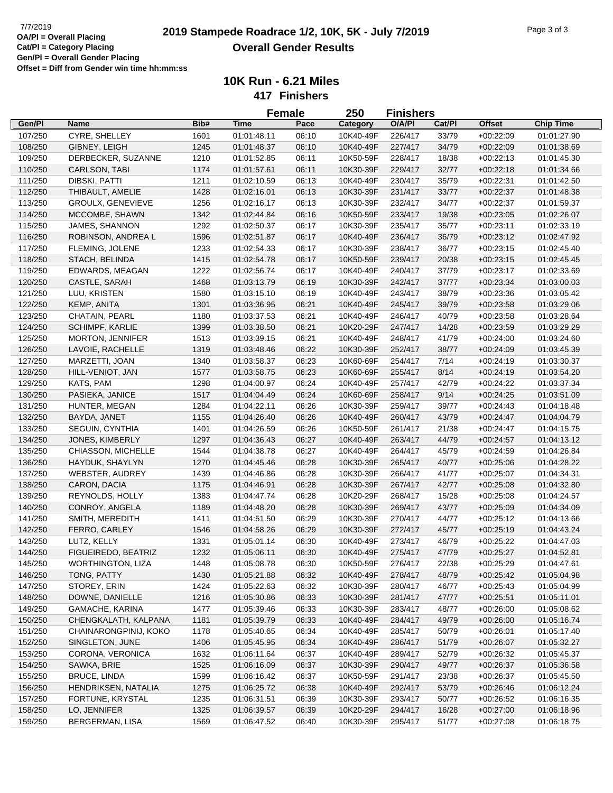## **2019 Stampede Roadrace 1/2, 10K, 5K - July 7/2019** 7/7/2019 Page 3 of 3 **Overall Gender Results**

|                    |                                    |      |             | <b>Female</b> | 250                    | <b>Finishers</b> |        |               |                  |
|--------------------|------------------------------------|------|-------------|---------------|------------------------|------------------|--------|---------------|------------------|
| Gen/Pl             | <b>Name</b>                        | Bib# | <b>Time</b> | Pace          | Category               | O/A/PI           | Cat/Pl | <b>Offset</b> | <b>Chip Time</b> |
| 107/250            | CYRE, SHELLEY                      | 1601 | 01:01:48.11 | 06:10         | 10K40-49F              | 226/417          | 33/79  | $+00:22:09$   | 01:01:27.90      |
| 108/250            | GIBNEY, LEIGH                      | 1245 | 01:01:48.37 | 06:10         | 10K40-49F              | 227/417          | 34/79  | $+00:22:09$   | 01:01:38.69      |
| 109/250            | DERBECKER, SUZANNE                 | 1210 | 01:01:52.85 | 06:11         | 10K50-59F              | 228/417          | 18/38  | $+00:22:13$   | 01:01:45.30      |
| 110/250            | CARLSON, TABI                      | 1174 | 01:01:57.61 | 06:11         | 10K30-39F              | 229/417          | 32/77  | $+00:22:18$   | 01:01:34.66      |
| 111/250            | DIBSKI, PATTI                      | 1211 | 01:02:10.59 | 06:13         | 10K40-49F              | 230/417          | 35/79  | $+00:22:31$   | 01:01:42.50      |
| 112/250            | THIBAULT, AMELIE                   | 1428 | 01:02:16.01 | 06:13         | 10K30-39F              | 231/417          | 33/77  | $+00:22:37$   | 01:01:48.38      |
| 113/250            | <b>GROULX, GENEVIEVE</b>           | 1256 | 01:02:16.17 | 06:13         | 10K30-39F              | 232/417          | 34/77  | $+00:22:37$   | 01:01:59.37      |
| 114/250            | MCCOMBE, SHAWN                     | 1342 | 01:02:44.84 | 06:16         | 10K50-59F              | 233/417          | 19/38  | $+00:23:05$   | 01:02:26.07      |
| 115/250            | JAMES, SHANNON                     | 1292 | 01:02:50.37 | 06:17         | 10K30-39F              | 235/417          | 35/77  | $+00:23:11$   | 01:02:33.19      |
| 116/250            | ROBINSON, ANDREA L                 | 1596 | 01:02:51.87 | 06:17         | 10K40-49F              | 236/417          | 36/79  | $+00:23:12$   | 01:02:47.92      |
| 117/250            | FLEMING, JOLENE                    | 1233 | 01:02:54.33 | 06:17         | 10K30-39F              | 238/417          | 36/77  | $+00:23:15$   | 01:02:45.40      |
| 118/250            | STACH, BELINDA                     | 1415 | 01:02:54.78 | 06:17         | 10K50-59F              | 239/417          | 20/38  | $+00:23:15$   | 01:02:45.45      |
| 119/250            | EDWARDS, MEAGAN                    | 1222 | 01:02:56.74 | 06:17         | 10K40-49F              | 240/417          | 37/79  | $+00:23:17$   | 01:02:33.69      |
| 120/250            | CASTLE, SARAH                      | 1468 | 01:03:13.79 | 06:19         | 10K30-39F              | 242/417          | 37/77  | $+00:23:34$   | 01:03:00.03      |
| 121/250            | LUU, KRISTEN                       | 1580 | 01:03:15.10 | 06:19         | 10K40-49F              | 243/417          | 38/79  | $+00:23:36$   | 01:03:05.42      |
| 122/250            | KEMP, ANITA                        | 1301 | 01:03:36.95 | 06:21         | 10K40-49F              | 245/417          | 39/79  | $+00:23:58$   | 01:03:29.06      |
| 123/250            | CHATAIN, PEARL                     | 1180 | 01:03:37.53 | 06:21         | 10K40-49F              | 246/417          | 40/79  | $+00:23:58$   | 01:03:28.64      |
| 124/250            | <b>SCHIMPF, KARLIE</b>             | 1399 | 01:03:38.50 | 06:21         | 10K20-29F              | 247/417          | 14/28  | $+00:23:59$   | 01:03:29.29      |
|                    | MORTON, JENNIFER                   | 1513 | 01:03:39.15 | 06:21         | 10K40-49F              | 248/417          | 41/79  |               |                  |
| 125/250<br>126/250 | LAVOIE, RACHELLE                   |      | 01:03:48.46 | 06:22         | 10K30-39F              | 252/417          |        | $+00:24:00$   | 01:03:24.60      |
|                    |                                    | 1319 |             |               |                        |                  | 38/77  | $+00:24:09$   | 01:03:45.39      |
| 127/250            | MARZETTI, JOAN<br>HILL-VENIOT, JAN | 1340 | 01:03:58.37 | 06:23         | 10K60-69F<br>10K60-69F | 254/417          | 7/14   | $+00:24:19$   | 01:03:30.37      |
| 128/250            |                                    | 1577 | 01:03:58.75 | 06:23         |                        | 255/417          | 8/14   | $+00:24:19$   | 01:03:54.20      |
| 129/250            | KATS, PAM                          | 1298 | 01:04:00.97 | 06:24         | 10K40-49F              | 257/417          | 42/79  | $+00:24:22$   | 01:03:37.34      |
| 130/250            | PASIEKA, JANICE                    | 1517 | 01:04:04.49 | 06:24         | 10K60-69F              | 258/417          | 9/14   | $+00:24:25$   | 01:03:51.09      |
| 131/250            | HUNTER, MEGAN                      | 1284 | 01:04:22.11 | 06:26         | 10K30-39F              | 259/417          | 39/77  | $+00:24:43$   | 01:04:18.48      |
| 132/250            | BAYDA, JANET                       | 1155 | 01:04:26.40 | 06:26         | 10K40-49F              | 260/417          | 43/79  | $+00:24:47$   | 01:04:04.79      |
| 133/250            | SEGUIN, CYNTHIA                    | 1401 | 01:04:26.59 | 06:26         | 10K50-59F              | 261/417          | 21/38  | $+00:24:47$   | 01:04:15.75      |
| 134/250            | JONES, KIMBERLY                    | 1297 | 01:04:36.43 | 06:27         | 10K40-49F              | 263/417          | 44/79  | $+00:24:57$   | 01:04:13.12      |
| 135/250            | CHIASSON, MICHELLE                 | 1544 | 01:04:38.78 | 06:27         | 10K40-49F              | 264/417          | 45/79  | $+00:24:59$   | 01:04:26.84      |
| 136/250            | HAYDUK, SHAYLYN                    | 1270 | 01:04:45.46 | 06:28         | 10K30-39F              | 265/417          | 40/77  | $+00:25:06$   | 01:04:28.22      |
| 137/250            | <b>WEBSTER, AUDREY</b>             | 1439 | 01:04:46.86 | 06:28         | 10K30-39F              | 266/417          | 41/77  | $+00:25:07$   | 01:04:34.31      |
| 138/250            | CARON, DACIA                       | 1175 | 01:04:46.91 | 06:28         | 10K30-39F              | 267/417          | 42/77  | $+00:25:08$   | 01:04:32.80      |
| 139/250            | REYNOLDS, HOLLY                    | 1383 | 01:04:47.74 | 06:28         | 10K20-29F              | 268/417          | 15/28  | $+00:25:08$   | 01:04:24.57      |
| 140/250            | CONROY, ANGELA                     | 1189 | 01:04:48.20 | 06:28         | 10K30-39F              | 269/417          | 43/77  | $+00:25:09$   | 01:04:34.09      |
| 141/250            | SMITH, MEREDITH                    | 1411 | 01:04:51.50 | 06:29         | 10K30-39F              | 270/417          | 44/77  | $+00:25:12$   | 01:04:13.66      |
| 142/250            | FERRO, CARLEY                      | 1546 | 01:04:58.26 | 06:29         | 10K30-39F              | 272/417          | 45/77  | $+00:25:19$   | 01:04:43.24      |
| 143/250            | LUTZ, KELLY                        | 1331 | 01:05:01.14 | 06:30         | 10K40-49F              | 273/417          | 46/79  | $+00:25:22$   | 01:04:47.03      |
| 144/250            | FIGUEIREDO, BEATRIZ                | 1232 | 01:05:06.11 | 06:30         | 10K40-49F              | 275/417          | 47/79  | $+00:25:27$   | 01:04:52.81      |
| 145/250            | WORTHINGTON, LIZA                  | 1448 | 01:05:08.78 | 06:30         | 10K50-59F              | 276/417          | 22/38  | $+00:25:29$   | 01:04:47.61      |
| 146/250            | TONG, PATTY                        | 1430 | 01:05:21.88 | 06:32         | 10K40-49F              | 278/417          | 48/79  | $+00:25:42$   | 01:05:04.98      |
| 147/250            | STOREY, ERIN                       | 1424 | 01:05:22.63 | 06:32         | 10K30-39F              | 280/417          | 46/77  | $+00:25:43$   | 01:05:04.99      |
| 148/250            | DOWNE, DANIELLE                    | 1216 | 01:05:30.86 | 06:33         | 10K30-39F              | 281/417          | 47/77  | $+00:25:51$   | 01:05:11.01      |
| 149/250            | GAMACHE, KARINA                    | 1477 | 01:05:39.46 | 06:33         | 10K30-39F              | 283/417          | 48/77  | $+00:26:00$   | 01:05:08.62      |
| 150/250            | CHENGKALATH, KALPANA               | 1181 | 01:05:39.79 | 06:33         | 10K40-49F              | 284/417          | 49/79  | $+00:26:00$   | 01:05:16.74      |
| 151/250            | CHAINARONGPINIJ, KOKO              | 1178 | 01:05:40.65 | 06:34         | 10K40-49F              | 285/417          | 50/79  | $+00:26:01$   | 01:05:17.40      |
| 152/250            | SINGLETON, JUNE                    | 1406 | 01:05:45.95 | 06:34         | 10K40-49F              | 286/417          | 51/79  | $+00:26:07$   | 01:05:32.27      |
| 153/250            | CORONA, VERONICA                   | 1632 | 01:06:11.64 | 06:37         | 10K40-49F              | 289/417          | 52/79  | $+00:26:32$   | 01:05:45.37      |
| 154/250            | SAWKA, BRIE                        | 1525 | 01:06:16.09 | 06:37         | 10K30-39F              | 290/417          | 49/77  | $+00:26:37$   | 01:05:36.58      |
| 155/250            | <b>BRUCE, LINDA</b>                | 1599 | 01:06:16.42 | 06:37         | 10K50-59F              | 291/417          | 23/38  | $+00:26:37$   | 01:05:45.50      |
| 156/250            | HENDRIKSEN, NATALIA                | 1275 | 01:06:25.72 | 06:38         | 10K40-49F              | 292/417          | 53/79  | $+00:26:46$   | 01:06:12.24      |
| 157/250            | FORTUNE, KRYSTAL                   | 1235 | 01:06:31.51 | 06:39         | 10K30-39F              | 293/417          | 50/77  | $+00:26:52$   | 01:06:16.35      |
| 158/250            | LO, JENNIFER                       | 1325 | 01:06:39.57 | 06:39         | 10K20-29F              | 294/417          | 16/28  | $+00:27:00$   | 01:06:18.96      |
| 159/250            | BERGERMAN, LISA                    | 1569 | 01:06:47.52 | 06:40         | 10K30-39F              | 295/417          | 51/77  | $+00:27:08$   | 01:06:18.75      |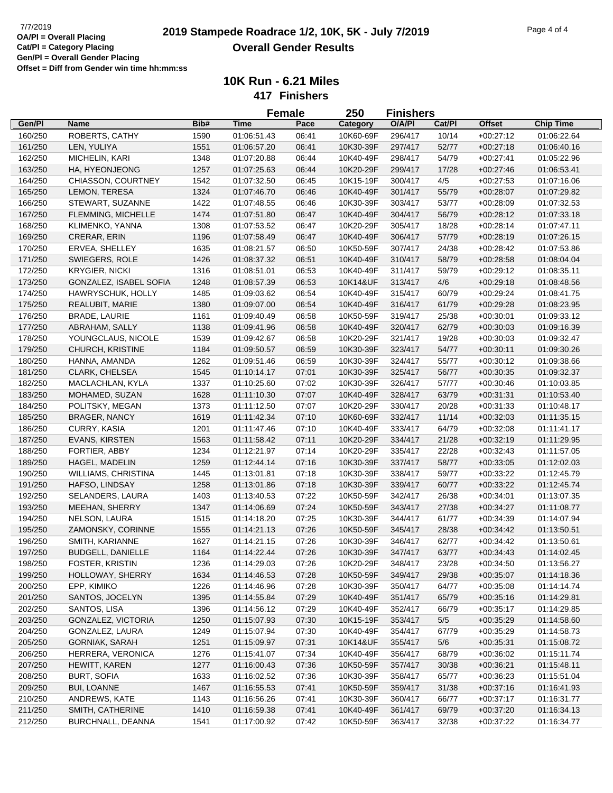|         |                            |      |             | <b>Female</b> | <b>250</b> | <b>Finishers</b> |        |               |                  |
|---------|----------------------------|------|-------------|---------------|------------|------------------|--------|---------------|------------------|
| Gen/Pl  | Name                       | Bib# | <b>Time</b> | Pace          | Category   | O/A/PI           | Cat/Pl | <b>Offset</b> | <b>Chip Time</b> |
| 160/250 | ROBERTS, CATHY             | 1590 | 01:06:51.43 | 06:41         | 10K60-69F  | 296/417          | 10/14  | $+00:27:12$   | 01:06:22.64      |
| 161/250 | LEN, YULIYA                | 1551 | 01:06:57.20 | 06:41         | 10K30-39F  | 297/417          | 52/77  | $+00:27:18$   | 01:06:40.16      |
| 162/250 | MICHELIN, KARI             | 1348 | 01:07:20.88 | 06:44         | 10K40-49F  | 298/417          | 54/79  | $+00:27:41$   | 01:05:22.96      |
| 163/250 | HA, HYEONJEONG             | 1257 | 01:07:25.63 | 06:44         | 10K20-29F  | 299/417          | 17/28  | $+00.27:46$   | 01:06:53.41      |
| 164/250 | CHIASSON, COURTNEY         | 1542 | 01:07:32.50 | 06:45         | 10K15-19F  | 300/417          | 4/5    | $+00:27:53$   | 01:07:16.06      |
| 165/250 | LEMON, TERESA              | 1324 | 01:07:46.70 | 06:46         | 10K40-49F  | 301/417          | 55/79  | $+00:28:07$   | 01:07:29.82      |
| 166/250 | STEWART, SUZANNE           | 1422 | 01:07:48.55 | 06:46         | 10K30-39F  | 303/417          | 53/77  | $+00:28:09$   | 01:07:32.53      |
| 167/250 | FLEMMING, MICHELLE         | 1474 | 01:07:51.80 | 06:47         | 10K40-49F  | 304/417          | 56/79  | $+00:28:12$   | 01:07:33.18      |
| 168/250 | KLIMENKO, YANNA            | 1308 | 01:07:53.52 | 06:47         | 10K20-29F  | 305/417          | 18/28  | $+00:28:14$   | 01:07:47.11      |
| 169/250 | <b>CRERAR, ERIN</b>        | 1196 | 01:07:58.49 | 06:47         | 10K40-49F  | 306/417          | 57/79  | $+00:28:19$   | 01:07:26.15      |
| 170/250 | ERVEA, SHELLEY             | 1635 | 01:08:21.57 | 06:50         | 10K50-59F  | 307/417          | 24/38  | $+00:28:42$   | 01:07:53.86      |
| 171/250 | SWIEGERS, ROLE             | 1426 | 01:08:37.32 | 06:51         | 10K40-49F  | 310/417          | 58/79  | $+00:28:58$   | 01:08:04.04      |
| 172/250 | <b>KRYGIER, NICKI</b>      | 1316 | 01:08:51.01 | 06:53         | 10K40-49F  | 311/417          | 59/79  | $+00:29:12$   | 01:08:35.11      |
| 173/250 | GONZALEZ, ISABEL SOFIA     | 1248 | 01:08:57.39 | 06:53         | 10K14&UF   | 313/417          | 4/6    | $+00:29:18$   | 01:08:48.56      |
| 174/250 | HAWRYSCHUK, HOLLY          | 1485 | 01:09:03.62 | 06:54         | 10K40-49F  | 315/417          | 60/79  | $+00:29:24$   | 01:08:41.75      |
| 175/250 | REALUBIT, MARIE            | 1380 | 01:09:07.00 | 06:54         | 10K40-49F  | 316/417          | 61/79  | $+00:29:28$   | 01:08:23.95      |
| 176/250 | <b>BRADE, LAURIE</b>       | 1161 | 01:09:40.49 | 06:58         | 10K50-59F  | 319/417          | 25/38  | $+00:30:01$   | 01:09:33.12      |
| 177/250 | ABRAHAM, SALLY             | 1138 | 01:09:41.96 | 06:58         | 10K40-49F  | 320/417          | 62/79  | $+00:30:03$   | 01:09:16.39      |
| 178/250 | YOUNGCLAUS, NICOLE         | 1539 | 01:09:42.67 | 06:58         | 10K20-29F  | 321/417          | 19/28  | $+00:30:03$   | 01:09:32.47      |
| 179/250 | CHURCH, KRISTINE           | 1184 | 01:09:50.57 | 06:59         | 10K30-39F  | 323/417          | 54/77  | $+00:30:11$   | 01:09:30.26      |
| 180/250 | HANNA, AMANDA              | 1262 | 01:09:51.46 | 06:59         | 10K30-39F  | 324/417          | 55/77  | $+00:30:12$   | 01:09:38.66      |
| 181/250 | CLARK, CHELSEA             | 1545 | 01:10:14.17 | 07:01         | 10K30-39F  | 325/417          | 56/77  | $+00:30:35$   | 01:09:32.37      |
| 182/250 | MACLACHLAN, KYLA           | 1337 | 01:10:25.60 | 07:02         | 10K30-39F  | 326/417          | 57/77  | $+00:30:46$   | 01:10:03.85      |
| 183/250 | MOHAMED, SUZAN             | 1628 | 01:11:10.30 | 07:07         | 10K40-49F  | 328/417          | 63/79  | $+00:31:31$   | 01:10:53.40      |
| 184/250 | POLITSKY, MEGAN            | 1373 | 01:11:12.50 | 07:07         | 10K20-29F  | 330/417          | 20/28  | $+00:31:33$   | 01:10:48.17      |
| 185/250 | <b>BRAGER, NANCY</b>       | 1619 | 01:11:42.34 | 07:10         | 10K60-69F  | 332/417          | 11/14  | $+00:32:03$   | 01:11:35.15      |
| 186/250 | CURRY, KASIA               | 1201 | 01:11:47.46 | 07:10         | 10K40-49F  | 333/417          | 64/79  | $+00:32:08$   | 01:11:41.17      |
| 187/250 | <b>EVANS, KIRSTEN</b>      | 1563 | 01:11:58.42 | 07:11         | 10K20-29F  | 334/417          | 21/28  | $+00:32:19$   | 01:11:29.95      |
| 188/250 | FORTIER, ABBY              | 1234 | 01:12:21.97 | 07:14         | 10K20-29F  | 335/417          | 22/28  | $+00:32:43$   | 01:11:57.05      |
| 189/250 | HAGEL, MADELIN             | 1259 | 01:12:44.14 | 07:16         | 10K30-39F  | 337/417          | 58/77  | $+00:33:05$   | 01:12:02.03      |
| 190/250 | <b>WILLIAMS, CHRISTINA</b> | 1445 | 01:13:01.81 | 07:18         | 10K30-39F  | 338/417          | 59/77  | $+00:33:22$   | 01:12:45.79      |
| 191/250 | HAFSO, LINDSAY             | 1258 | 01:13:01.86 | 07:18         | 10K30-39F  | 339/417          | 60/77  | $+00:33:22$   | 01:12:45.74      |
| 192/250 | SELANDERS, LAURA           | 1403 | 01:13:40.53 | 07:22         | 10K50-59F  | 342/417          | 26/38  | $+00:34:01$   | 01:13:07.35      |
| 193/250 | <b>MEEHAN, SHERRY</b>      | 1347 | 01:14:06.69 | 07:24         | 10K50-59F  | 343/417          | 27/38  | $+00:34:27$   | 01:11:08.77      |
| 194/250 | NELSON, LAURA              | 1515 | 01:14:18.20 | 07:25         | 10K30-39F  | 344/417          | 61/77  | $+00:34:39$   | 01:14:07.94      |
| 195/250 | ZAMONSKY, CORINNE          | 1555 | 01:14:21.13 | 07:26         | 10K50-59F  | 345/417          | 28/38  | $+00:34:42$   | 01:13:50.51      |
| 196/250 | SMITH, KARIANNE            | 1627 | 01:14:21.15 | 07:26         | 10K30-39F  | 346/417          | 62/77  | $+00:34:42$   | 01:13:50.61      |
| 197/250 | <b>BUDGELL, DANIELLE</b>   | 1164 | 01:14:22.44 | 07:26         | 10K30-39F  | 347/417          | 63/77  | $+00:34:43$   | 01:14:02.45      |
| 198/250 | FOSTER, KRISTIN            | 1236 | 01:14:29.03 | 07:26         | 10K20-29F  | 348/417          | 23/28  | $+00:34:50$   | 01:13:56.27      |
| 199/250 | HOLLOWAY, SHERRY           | 1634 | 01:14:46.53 | 07:28         | 10K50-59F  | 349/417          | 29/38  | $+00:35:07$   | 01:14:18.36      |
| 200/250 | EPP, KIMIKO                | 1226 | 01:14:46.96 | 07:28         | 10K30-39F  | 350/417          | 64/77  | $+00:35:08$   | 01:14:14.74      |
|         | SANTOS, JOCELYN            | 1395 |             |               | 10K40-49F  |                  | 65/79  |               |                  |
| 201/250 | SANTOS, LISA               |      | 01:14:55.84 | 07:29         | 10K40-49F  | 351/417          | 66/79  | $+00:35:16$   | 01:14:29.81      |
| 202/250 |                            | 1396 | 01:14:56.12 | 07:29         |            | 352/417          |        | $+00:35:17$   | 01:14:29.85      |
| 203/250 | GONZALEZ, VICTORIA         | 1250 | 01:15:07.93 | 07:30         | 10K15-19F  | 353/417          | 5/5    | $+00:35:29$   | 01:14:58.60      |
| 204/250 | GONZALEZ, LAURA            | 1249 | 01:15:07.94 | 07:30         | 10K40-49F  | 354/417          | 67/79  | $+00:35:29$   | 01:14:58.73      |
| 205/250 | <b>GORNIAK, SARAH</b>      | 1251 | 01:15:09.97 | 07:31         | 10K14&UF   | 355/417          | 5/6    | $+00:35:31$   | 01:15:08.72      |
| 206/250 | HERRERA, VERONICA          | 1276 | 01:15:41.07 | 07:34         | 10K40-49F  | 356/417          | 68/79  | $+00:36:02$   | 01:15:11.74      |
| 207/250 | HEWITT, KAREN              | 1277 | 01:16:00.43 | 07:36         | 10K50-59F  | 357/417          | 30/38  | $+00:36:21$   | 01:15:48.11      |
| 208/250 | <b>BURT, SOFIA</b>         | 1633 | 01:16:02.52 | 07:36         | 10K30-39F  | 358/417          | 65/77  | $+00:36:23$   | 01:15:51.04      |
| 209/250 | <b>BUI, LOANNE</b>         | 1467 | 01:16:55.53 | 07:41         | 10K50-59F  | 359/417          | 31/38  | $+00.37:16$   | 01:16:41.93      |
| 210/250 | ANDREWS, KATE              | 1143 | 01:16:56.26 | 07:41         | 10K30-39F  | 360/417          | 66/77  | $+00:37:17$   | 01:16:31.77      |
| 211/250 | SMITH, CATHERINE           | 1410 | 01:16:59.38 | 07:41         | 10K40-49F  | 361/417          | 69/79  | $+00:37:20$   | 01:16:34.13      |
| 212/250 | BURCHNALL, DEANNA          | 1541 | 01:17:00.92 | 07:42         | 10K50-59F  | 363/417          | 32/38  | $+00:37:22$   | 01:16:34.77      |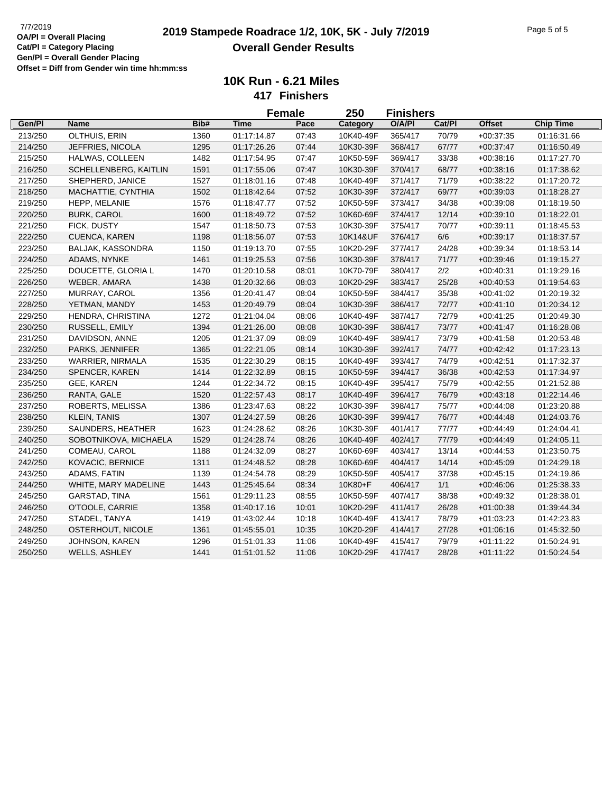|         |                          |      |             | <b>Female</b> | 250       | <b>Finishers</b> |        |               |                  |
|---------|--------------------------|------|-------------|---------------|-----------|------------------|--------|---------------|------------------|
| Gen/Pl  | <b>Name</b>              | Bib# | <b>Time</b> | Pace          | Category  | O/A/PI           | Cat/Pl | <b>Offset</b> | <b>Chip Time</b> |
| 213/250 | OLTHUIS, ERIN            | 1360 | 01:17:14.87 | 07:43         | 10K40-49F | 365/417          | 70/79  | $+00:37:35$   | 01:16:31.66      |
| 214/250 | JEFFRIES, NICOLA         | 1295 | 01:17:26.26 | 07:44         | 10K30-39F | 368/417          | 67/77  | $+00:37:47$   | 01:16:50.49      |
| 215/250 | HALWAS, COLLEEN          | 1482 | 01:17:54.95 | 07:47         | 10K50-59F | 369/417          | 33/38  | $+00:38:16$   | 01:17:27.70      |
| 216/250 | SCHELLENBERG, KAITLIN    | 1591 | 01:17:55.06 | 07:47         | 10K30-39F | 370/417          | 68/77  | $+00:38:16$   | 01:17:38.62      |
| 217/250 | SHEPHERD, JANICE         | 1527 | 01:18:01.16 | 07:48         | 10K40-49F | 371/417          | 71/79  | $+00:38:22$   | 01:17:20.72      |
| 218/250 | MACHATTIE, CYNTHIA       | 1502 | 01:18:42.64 | 07:52         | 10K30-39F | 372/417          | 69/77  | $+00:39:03$   | 01:18:28.27      |
| 219/250 | HEPP, MELANIE            | 1576 | 01:18:47.77 | 07:52         | 10K50-59F | 373/417          | 34/38  | $+00:39:08$   | 01:18:19.50      |
| 220/250 | <b>BURK, CAROL</b>       | 1600 | 01:18:49.72 | 07:52         | 10K60-69F | 374/417          | 12/14  | $+00.39.10$   | 01:18:22.01      |
| 221/250 | FICK, DUSTY              | 1547 | 01:18:50.73 | 07:53         | 10K30-39F | 375/417          | 70/77  | $+00:39:11$   | 01:18:45.53      |
| 222/250 | <b>CUENCA, KAREN</b>     | 1198 | 01:18:56.07 | 07:53         | 10K14&UF  | 376/417          | 6/6    | $+00:39:17$   | 01:18:37.57      |
| 223/250 | <b>BALJAK, KASSONDRA</b> | 1150 | 01:19:13.70 | 07:55         | 10K20-29F | 377/417          | 24/28  | $+00:39:34$   | 01:18:53.14      |
| 224/250 | ADAMS, NYNKE             | 1461 | 01:19:25.53 | 07:56         | 10K30-39F | 378/417          | 71/77  | $+00:39:46$   | 01:19:15.27      |
| 225/250 | DOUCETTE, GLORIA L       | 1470 | 01:20:10.58 | 08:01         | 10K70-79F | 380/417          | 2/2    | $+00:40:31$   | 01:19:29.16      |
| 226/250 | WEBER, AMARA             | 1438 | 01:20:32.66 | 08:03         | 10K20-29F | 383/417          | 25/28  | $+00:40:53$   | 01:19:54.63      |
| 227/250 | MURRAY, CAROL            | 1356 | 01:20:41.47 | 08:04         | 10K50-59F | 384/417          | 35/38  | $+00:41:02$   | 01:20:19.32      |
| 228/250 | YETMAN, MANDY            | 1453 | 01:20:49.79 | 08:04         | 10K30-39F | 386/417          | 72/77  | $+00:41:10$   | 01:20:34.12      |
| 229/250 | HENDRA, CHRISTINA        | 1272 | 01:21:04.04 | 08:06         | 10K40-49F | 387/417          | 72/79  | $+00:41:25$   | 01:20:49.30      |
| 230/250 | RUSSELL, EMILY           | 1394 | 01:21:26.00 | 08:08         | 10K30-39F | 388/417          | 73/77  | $+00:41:47$   | 01:16:28.08      |
| 231/250 | DAVIDSON, ANNE           | 1205 | 01:21:37.09 | 08:09         | 10K40-49F | 389/417          | 73/79  | $+00.41:58$   | 01:20:53.48      |
| 232/250 | PARKS, JENNIFER          | 1365 | 01:22:21.05 | 08:14         | 10K30-39F | 392/417          | 74/77  | $+00.42:42$   | 01:17:23.13      |
| 233/250 | WARRIER, NIRMALA         | 1535 | 01:22:30.29 | 08:15         | 10K40-49F | 393/417          | 74/79  | $+00.42:51$   | 01:17:32.37      |
| 234/250 | SPENCER, KAREN           | 1414 | 01:22:32.89 | 08:15         | 10K50-59F | 394/417          | 36/38  | $+00.42:53$   | 01:17:34.97      |
| 235/250 | GEE, KAREN               | 1244 | 01:22:34.72 | 08:15         | 10K40-49F | 395/417          | 75/79  | $+00:42:55$   | 01:21:52.88      |
| 236/250 | RANTA, GALE              | 1520 | 01:22:57.43 | 08:17         | 10K40-49F | 396/417          | 76/79  | $+00:43:18$   | 01:22:14.46      |
| 237/250 | ROBERTS, MELISSA         | 1386 | 01:23:47.63 | 08:22         | 10K30-39F | 398/417          | 75/77  | $+00.44:08$   | 01:23:20.88      |
| 238/250 | <b>KLEIN, TANIS</b>      | 1307 | 01:24:27.59 | 08:26         | 10K30-39F | 399/417          | 76/77  | $+00.44:48$   | 01:24:03.76      |
| 239/250 | SAUNDERS, HEATHER        | 1623 | 01:24:28.62 | 08:26         | 10K30-39F | 401/417          | 77/77  | $+00.44:49$   | 01:24:04.41      |
| 240/250 | SOBOTNIKOVA, MICHAELA    | 1529 | 01:24:28.74 | 08:26         | 10K40-49F | 402/417          | 77/79  | $+00:44:49$   | 01:24:05.11      |
| 241/250 | COMEAU, CAROL            | 1188 | 01:24:32.09 | 08:27         | 10K60-69F | 403/417          | 13/14  | $+00:44:53$   | 01:23:50.75      |
| 242/250 | KOVACIC, BERNICE         | 1311 | 01:24:48.52 | 08:28         | 10K60-69F | 404/417          | 14/14  | $+00:45:09$   | 01:24:29.18      |
| 243/250 | ADAMS, FATIN             | 1139 | 01:24:54.78 | 08:29         | 10K50-59F | 405/417          | 37/38  | $+00:45:15$   | 01:24:19.86      |
| 244/250 | WHITE, MARY MADELINE     | 1443 | 01:25:45.64 | 08:34         | 10K80+F   | 406/417          | 1/1    | $+00:46:06$   | 01:25:38.33      |
| 245/250 | GARSTAD, TINA            | 1561 | 01:29:11.23 | 08:55         | 10K50-59F | 407/417          | 38/38  | $+00:49:32$   | 01:28:38.01      |
| 246/250 | O'TOOLE, CARRIE          | 1358 | 01:40:17.16 | 10:01         | 10K20-29F | 411/417          | 26/28  | $+01:00:38$   | 01:39:44.34      |
| 247/250 | STADEL, TANYA            | 1419 | 01:43:02.44 | 10:18         | 10K40-49F | 413/417          | 78/79  | $+01:03:23$   | 01:42:23.83      |
| 248/250 | OSTERHOUT, NICOLE        | 1361 | 01:45:55.01 | 10:35         | 10K20-29F | 414/417          | 27/28  | $+01:06:16$   | 01:45:32.50      |
| 249/250 | JOHNSON, KAREN           | 1296 | 01:51:01.33 | 11:06         | 10K40-49F | 415/417          | 79/79  | $+01:11:22$   | 01:50:24.91      |
| 250/250 | WELLS, ASHLEY            | 1441 | 01:51:01.52 | 11:06         | 10K20-29F | 417/417          | 28/28  | $+01:11:22$   | 01:50:24.54      |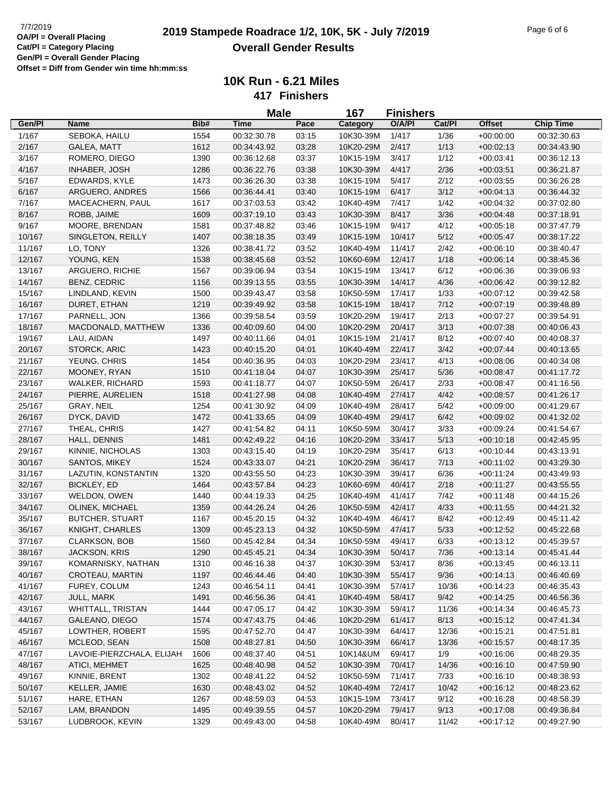**Male**

| Pace<br>Cat/Pl<br><b>Offset</b><br><b>Chip Time</b><br>Gen/Pl<br><b>Name</b><br>Bib#<br><b>Time</b><br>O/A/PI<br>Category<br>1/417<br>1/167<br>SEBOKA, HAILU<br>1554<br>00:32:30.78<br>03:15<br>10K30-39M<br>1/36<br>$+00:00:00$<br>00:32:30.63<br>2/167<br>1612<br>03:28<br>2/417<br>1/13<br><b>GALEA, MATT</b><br>00:34:43.92<br>10K20-29M<br>$+00:02:13$<br>00:34:43.90<br>1/12<br>10K15-19M<br>3/417<br>3/167<br>ROMERO, DIEGO<br>1390<br>00:36:12.68<br>03:37<br>$+00:03:41$<br>00:36:12.13<br>2/36<br>4/167<br>1286<br>03:38<br>10K30-39M<br>4/417<br>INHABER, JOSH<br>00:36:22.76<br>$+00:03:51$<br>00:36:21.87<br>5/417<br>2/12<br>5/167<br>EDWARDS, KYLE<br>1473<br>00:36:26.30<br>03:38<br>10K15-19M<br>$+00:03:55$<br>00:36:26.28<br>6/417<br>3/12<br>6/167<br>ARGUERO, ANDRES<br>1566<br>00:36:44.41<br>03:40<br>10K15-19M<br>$+00:04:13$<br>00:36:44.32<br>10K40-49M<br>7/417<br>1/42<br>7/167<br>MACEACHERN, PAUL<br>1617<br>00:37:03.53<br>03:42<br>$+00:04:32$<br>00:37:02.80<br>8/167<br>8/417<br>3/36<br>ROBB, JAIME<br>1609<br>00:37:19.10<br>03:43<br>10K30-39M<br>$+00:04:48$<br>00:37:18.91<br>9/167<br>9/417<br>4/12<br>MOORE, BRENDAN<br>1581<br>00:37:48.82<br>03:46<br>10K15-19M<br>$+00:05:18$<br>00:37:47.79<br>1407<br>10/417<br>5/12<br>10/167<br>SINGLETON, REILLY<br>00:38:18.35<br>03:49<br>10K15-19M<br>$+00:05:47$<br>00:38:17.22<br>2/42<br>11/417<br>11/167<br>LO, TONY<br>1326<br>00:38:41.72<br>03:52<br>10K40-49M<br>$+00:06:10$<br>00:38:40.47<br>12/167<br>YOUNG, KEN<br>1538<br>10K60-69M<br>12/417<br>1/18<br>00:38:45.68<br>03:52<br>$+00:06:14$<br>00:38:45.36<br>6/12<br>13/167<br>1567<br>10K15-19M<br>13/417<br>ARGUERO, RICHIE<br>00:39:06.94<br>03:54<br>$+00:06:36$<br>00:39:06.93<br>1156<br>10K30-39M<br>4/36<br>14/167<br><b>BENZ, CEDRIC</b><br>00:39:13.55<br>03:55<br>14/417<br>$+00:06:42$<br>00:39:12.82<br>10K50-59M<br>1/33<br>15/167<br>LINDLAND, KEVIN<br>1500<br>00:39:43.47<br>03:58<br>17/417<br>$+00:07:12$<br>00:39:42.58<br>10K15-19M<br>7/12<br>16/167<br>DURET, ETHAN<br>1219<br>00:39:49.92<br>03:58<br>18/417<br>$+00:07:19$<br>00:39:48.89<br>03:59<br>2/13<br>17/167<br>PARNELL, JON<br>1366<br>00:39:58.54<br>10K20-29M<br>19/417<br>$+00:07:27$<br>00:39:54.91<br>20/417<br>3/13<br>18/167<br>MACDONALD, MATTHEW<br>1336<br>00:40:09.60<br>04:00<br>10K20-29M<br>$+00:07:38$<br>00:40:06.43<br>21/417<br>8/12<br>19/167<br>LAU, AIDAN<br>1497<br>00:40:11.66<br>04:01<br>10K15-19M<br>$+00:07:40$<br>00:40:08.37<br>22/417<br>3/42<br>20/167<br>STORCK, ARIC<br>1423<br>04:01<br>10K40-49M<br>$+00:07:44$<br>00:40:15.20<br>00:40:13.65<br>21/167<br>10K20-29M<br>23/417<br>4/13<br>YEUNG, CHRIS<br>1454<br>00:40:36.95<br>04:03<br>$+00:08:06$<br>00:40:34.08<br>5/36<br>22/167<br>MOONEY, RYAN<br>1510<br>04:07<br>10K30-39M<br>25/417<br>00:41:18.04<br>$+00:08:47$<br>00:41:17.72<br>2/33<br>23/167<br><b>WALKER, RICHARD</b><br>1593<br>00:41:18.77<br>04:07<br>10K50-59M<br>26/417<br>$+00:08:47$<br>00:41:16.56<br>4/42<br>24/167<br>PIERRE, AURELIEN<br>1518<br>00:41:27.98<br>04:08<br>10K40-49M<br>27/417<br>$+00:08:57$<br>00:41:26.17<br>25/167<br>1254<br>04:09<br>10K40-49M<br>28/417<br>5/42<br>GRAY, NEIL<br>00:41:30.92<br>$+00:09:00$<br>00:41:29.67<br>6/42<br>26/167<br>DYCK, DAVID<br>1472<br>00:41:33.65<br>04:09<br>10K40-49M<br>29/417<br>$+00:09:02$<br>00:41:32.02<br>THEAL, CHRIS<br>30/417<br>3/33<br>27/167<br>1427<br>00:41:54.82<br>04:11<br>10K50-59M<br>$+00:09:24$<br>00:41:54.67<br>28/167<br>33/417<br>5/13<br>HALL, DENNIS<br>1481<br>00:42:49.22<br>04:16<br>10K20-29M<br>$+00:10:18$<br>00:42:45.95<br>29/167<br>1303<br>04:19<br>10K20-29M<br>35/417<br>6/13<br>KINNIE, NICHOLAS<br>00:43:15.40<br>$+00:10:44$<br>00:43:13.91<br>SANTOS, MIKEY<br>10K20-29M<br>7/13<br>30/167<br>1524<br>00:43:33.07<br>04:21<br>36/417<br>$+00:11:02$<br>00:43:29.30<br>10K30-39M<br>6/36<br>31/167<br>LAZUTIN, KONSTANTIN<br>1320<br>00:43:55.50<br>04:23<br>39/417<br>$+00:11:24$<br>00:43:49.93<br>10K60-69M<br>2/18<br>32/167<br>BICKLEY, ED<br>1464<br>00:43:57.84<br>04:23<br>40/417<br>$+00:11:27$<br>00:43:55.55<br>33/167<br>04:25<br>10K40-49M<br>7/42<br>WELDON, OWEN<br>1440<br>00:44:19.33<br>41/417<br>$+00:11:48$<br>00:44:15.26<br>4/33<br>34/167<br>OLINEK, MICHAEL<br>1359<br>04:26<br>10K50-59M<br>42/417<br>$+00:11:55$<br>00:44:21.32<br>00:44:26.24<br>8/42<br>35/167<br><b>BUTCHER, STUART</b><br>1167<br>04:32<br>10K40-49M<br>46/417<br>$+00:12:49$<br>00:45:20.15<br>00:45:11.42<br>36/167<br>5/33<br><b>KNIGHT, CHARLES</b><br>1309<br>04:32<br>10K50-59M<br>47/417<br>$+00:12:52$<br>00:45:22.68<br>00:45:23.13<br>04:34<br>6/33<br>37/167<br><b>CLARKSON, BOB</b><br>1560<br>00:45:42.84<br>10K50-59M<br>49/417<br>$+00:13:12$<br>00:45:39.57<br>04:34<br>7/36<br>38/167<br><b>JACKSON, KRIS</b><br>1290<br>10K30-39M<br>50/417<br>00:45:41.44<br>00:45:45.21<br>$+00:13:14$<br>KOMARNISKY, NATHAN<br>39/167<br>1310<br>04:37<br>10K30-39M<br>53/417<br>8/36<br>$+00:13:45$<br>00:46:16.38<br>00:46:13.11<br>40/167<br>CROTEAU, MARTIN<br>1197<br>04:40<br>10K30-39M<br>55/417<br>9/36<br>$+00:14:13$<br>00:46:44.46<br>00:46:40.69<br>41/167<br>FUREY, COLUM<br>1243<br>00:46:54.11<br>04:41<br>10K30-39M<br>57/417<br>10/36<br>$+00:14:23$<br>00:46:35.43<br>42/167<br>JULL, MARK<br>1491<br>04:41<br>10K40-49M<br>58/417<br>9/42<br>$+00:14:25$<br>00:46:56.36<br>00:46:56.36<br>43/167<br>WHITTALL, TRISTAN<br>1444<br>04:42<br>10K30-39M<br>59/417<br>11/36<br>00:47:05.17<br>$+00:14:34$<br>00:46:45.73<br>44/167<br>GALEANO, DIEGO<br>10K20-29M<br>61/417<br>8/13<br>1574<br>00:47:43.75<br>04:46<br>$+00:15:12$<br>00:47:41.34<br>45/167<br>LOWTHER, ROBERT<br>1595<br>00:47:52.70<br>04:47<br>10K30-39M<br>64/417<br>12/36<br>$+00:15:21$<br>00:47:51.81<br>46/167<br>MCLEOD, SEAN<br>1508<br>10K30-39M<br>00:48:27.81<br>04:50<br>66/417<br>13/36<br>$+00:15:57$<br>00:48:17.35<br>1/9<br>47/167<br>LAVOIE-PIERZCHALA, ELIJAH<br>1606<br>00:48:37.40<br>04:51<br>10K14&UM<br>69/417<br>$+00:16:06$<br>00:48:29.35<br>48/167<br>10K30-39M<br>14/36<br>ATICI, MEHMET<br>1625<br>00:48:40.98<br>04:52<br>70/417<br>$+00:16:10$<br>00:47:59.90<br>49/167<br>KINNIE, BRENT<br>1302<br>00:48:41.22<br>04:52<br>10K50-59M<br>71/417<br>7/33<br>$+00:16:10$<br>00:48:38.93<br>50/167<br>KELLER, JAMIE<br>1630<br>04:52<br>10K40-49M<br>72/417<br>10/42<br>00:48:43.02<br>$+00:16:12$<br>00:48:23.62<br>9/12<br>51/167<br>HARE, ETHAN<br>1267<br>04:53<br>10K15-19M<br>73/417<br>00:48:59.03<br>$+00:16:28$<br>00:48:58.39<br>52/167<br>LAM, BRANDON<br>1495<br>04:57<br>10K20-29M<br>79/417<br>9/13<br>$+00:17:08$<br>00:49:39.55<br>00:49:36.84<br>53/167<br>1329<br>LUDBROOK, KEVIN<br>00:49:43.00<br>04:58<br>10K40-49M<br>80/417<br>11/42<br>$+00:17:12$<br>00:49:27.90 |  | <b>Male</b> | 167 | <b>Finishers</b> |  |  |
|-------------------------------------------------------------------------------------------------------------------------------------------------------------------------------------------------------------------------------------------------------------------------------------------------------------------------------------------------------------------------------------------------------------------------------------------------------------------------------------------------------------------------------------------------------------------------------------------------------------------------------------------------------------------------------------------------------------------------------------------------------------------------------------------------------------------------------------------------------------------------------------------------------------------------------------------------------------------------------------------------------------------------------------------------------------------------------------------------------------------------------------------------------------------------------------------------------------------------------------------------------------------------------------------------------------------------------------------------------------------------------------------------------------------------------------------------------------------------------------------------------------------------------------------------------------------------------------------------------------------------------------------------------------------------------------------------------------------------------------------------------------------------------------------------------------------------------------------------------------------------------------------------------------------------------------------------------------------------------------------------------------------------------------------------------------------------------------------------------------------------------------------------------------------------------------------------------------------------------------------------------------------------------------------------------------------------------------------------------------------------------------------------------------------------------------------------------------------------------------------------------------------------------------------------------------------------------------------------------------------------------------------------------------------------------------------------------------------------------------------------------------------------------------------------------------------------------------------------------------------------------------------------------------------------------------------------------------------------------------------------------------------------------------------------------------------------------------------------------------------------------------------------------------------------------------------------------------------------------------------------------------------------------------------------------------------------------------------------------------------------------------------------------------------------------------------------------------------------------------------------------------------------------------------------------------------------------------------------------------------------------------------------------------------------------------------------------------------------------------------------------------------------------------------------------------------------------------------------------------------------------------------------------------------------------------------------------------------------------------------------------------------------------------------------------------------------------------------------------------------------------------------------------------------------------------------------------------------------------------------------------------------------------------------------------------------------------------------------------------------------------------------------------------------------------------------------------------------------------------------------------------------------------------------------------------------------------------------------------------------------------------------------------------------------------------------------------------------------------------------------------------------------------------------------------------------------------------------------------------------------------------------------------------------------------------------------------------------------------------------------------------------------------------------------------------------------------------------------------------------------------------------------------------------------------------------------------------------------------------------------------------------------------------------------------------------------------------------------------------------------------------------------------------------------------------------------------------------------------------------------------------------------------------------------------------------------------------------------------------------------------------------------------------------------------------------------------------------------------------------------------------------------------------------------------------------------------------------------------------------------------------------------------------------------------------------------------------------------------------------------------------------------------------------------------------------------------------------------------------------------------------------------------------------------------------------------------------------------------------------------------------------------------------------------------------------------------------------------------------------------------------------------------------------------------------------------------------------------------------------------------------------------------------------------------------------------------------------------------------------------------------------------------------------------------------------------------------------------------------------------------------------------------------------------------------------|--|-------------|-----|------------------|--|--|
|                                                                                                                                                                                                                                                                                                                                                                                                                                                                                                                                                                                                                                                                                                                                                                                                                                                                                                                                                                                                                                                                                                                                                                                                                                                                                                                                                                                                                                                                                                                                                                                                                                                                                                                                                                                                                                                                                                                                                                                                                                                                                                                                                                                                                                                                                                                                                                                                                                                                                                                                                                                                                                                                                                                                                                                                                                                                                                                                                                                                                                                                                                                                                                                                                                                                                                                                                                                                                                                                                                                                                                                                                                                                                                                                                                                                                                                                                                                                                                                                                                                                                                                                                                                                                                                                                                                                                                                                                                                                                                                                                                                                                                                                                                                                                                                                                                                                                                                                                                                                                                                                                                                                                                                                                                                                                                                                                                                                                                                                                                                                                                                                                                                                                                                                                                                                                                                                                                                                                                                                                                                                                                                                                                                                                                                                                                                                                                                                                                                                                                                                                                                                                                                                                                                                                                                                                   |  |             |     |                  |  |  |
|                                                                                                                                                                                                                                                                                                                                                                                                                                                                                                                                                                                                                                                                                                                                                                                                                                                                                                                                                                                                                                                                                                                                                                                                                                                                                                                                                                                                                                                                                                                                                                                                                                                                                                                                                                                                                                                                                                                                                                                                                                                                                                                                                                                                                                                                                                                                                                                                                                                                                                                                                                                                                                                                                                                                                                                                                                                                                                                                                                                                                                                                                                                                                                                                                                                                                                                                                                                                                                                                                                                                                                                                                                                                                                                                                                                                                                                                                                                                                                                                                                                                                                                                                                                                                                                                                                                                                                                                                                                                                                                                                                                                                                                                                                                                                                                                                                                                                                                                                                                                                                                                                                                                                                                                                                                                                                                                                                                                                                                                                                                                                                                                                                                                                                                                                                                                                                                                                                                                                                                                                                                                                                                                                                                                                                                                                                                                                                                                                                                                                                                                                                                                                                                                                                                                                                                                                   |  |             |     |                  |  |  |
|                                                                                                                                                                                                                                                                                                                                                                                                                                                                                                                                                                                                                                                                                                                                                                                                                                                                                                                                                                                                                                                                                                                                                                                                                                                                                                                                                                                                                                                                                                                                                                                                                                                                                                                                                                                                                                                                                                                                                                                                                                                                                                                                                                                                                                                                                                                                                                                                                                                                                                                                                                                                                                                                                                                                                                                                                                                                                                                                                                                                                                                                                                                                                                                                                                                                                                                                                                                                                                                                                                                                                                                                                                                                                                                                                                                                                                                                                                                                                                                                                                                                                                                                                                                                                                                                                                                                                                                                                                                                                                                                                                                                                                                                                                                                                                                                                                                                                                                                                                                                                                                                                                                                                                                                                                                                                                                                                                                                                                                                                                                                                                                                                                                                                                                                                                                                                                                                                                                                                                                                                                                                                                                                                                                                                                                                                                                                                                                                                                                                                                                                                                                                                                                                                                                                                                                                                   |  |             |     |                  |  |  |
|                                                                                                                                                                                                                                                                                                                                                                                                                                                                                                                                                                                                                                                                                                                                                                                                                                                                                                                                                                                                                                                                                                                                                                                                                                                                                                                                                                                                                                                                                                                                                                                                                                                                                                                                                                                                                                                                                                                                                                                                                                                                                                                                                                                                                                                                                                                                                                                                                                                                                                                                                                                                                                                                                                                                                                                                                                                                                                                                                                                                                                                                                                                                                                                                                                                                                                                                                                                                                                                                                                                                                                                                                                                                                                                                                                                                                                                                                                                                                                                                                                                                                                                                                                                                                                                                                                                                                                                                                                                                                                                                                                                                                                                                                                                                                                                                                                                                                                                                                                                                                                                                                                                                                                                                                                                                                                                                                                                                                                                                                                                                                                                                                                                                                                                                                                                                                                                                                                                                                                                                                                                                                                                                                                                                                                                                                                                                                                                                                                                                                                                                                                                                                                                                                                                                                                                                                   |  |             |     |                  |  |  |
|                                                                                                                                                                                                                                                                                                                                                                                                                                                                                                                                                                                                                                                                                                                                                                                                                                                                                                                                                                                                                                                                                                                                                                                                                                                                                                                                                                                                                                                                                                                                                                                                                                                                                                                                                                                                                                                                                                                                                                                                                                                                                                                                                                                                                                                                                                                                                                                                                                                                                                                                                                                                                                                                                                                                                                                                                                                                                                                                                                                                                                                                                                                                                                                                                                                                                                                                                                                                                                                                                                                                                                                                                                                                                                                                                                                                                                                                                                                                                                                                                                                                                                                                                                                                                                                                                                                                                                                                                                                                                                                                                                                                                                                                                                                                                                                                                                                                                                                                                                                                                                                                                                                                                                                                                                                                                                                                                                                                                                                                                                                                                                                                                                                                                                                                                                                                                                                                                                                                                                                                                                                                                                                                                                                                                                                                                                                                                                                                                                                                                                                                                                                                                                                                                                                                                                                                                   |  |             |     |                  |  |  |
|                                                                                                                                                                                                                                                                                                                                                                                                                                                                                                                                                                                                                                                                                                                                                                                                                                                                                                                                                                                                                                                                                                                                                                                                                                                                                                                                                                                                                                                                                                                                                                                                                                                                                                                                                                                                                                                                                                                                                                                                                                                                                                                                                                                                                                                                                                                                                                                                                                                                                                                                                                                                                                                                                                                                                                                                                                                                                                                                                                                                                                                                                                                                                                                                                                                                                                                                                                                                                                                                                                                                                                                                                                                                                                                                                                                                                                                                                                                                                                                                                                                                                                                                                                                                                                                                                                                                                                                                                                                                                                                                                                                                                                                                                                                                                                                                                                                                                                                                                                                                                                                                                                                                                                                                                                                                                                                                                                                                                                                                                                                                                                                                                                                                                                                                                                                                                                                                                                                                                                                                                                                                                                                                                                                                                                                                                                                                                                                                                                                                                                                                                                                                                                                                                                                                                                                                                   |  |             |     |                  |  |  |
|                                                                                                                                                                                                                                                                                                                                                                                                                                                                                                                                                                                                                                                                                                                                                                                                                                                                                                                                                                                                                                                                                                                                                                                                                                                                                                                                                                                                                                                                                                                                                                                                                                                                                                                                                                                                                                                                                                                                                                                                                                                                                                                                                                                                                                                                                                                                                                                                                                                                                                                                                                                                                                                                                                                                                                                                                                                                                                                                                                                                                                                                                                                                                                                                                                                                                                                                                                                                                                                                                                                                                                                                                                                                                                                                                                                                                                                                                                                                                                                                                                                                                                                                                                                                                                                                                                                                                                                                                                                                                                                                                                                                                                                                                                                                                                                                                                                                                                                                                                                                                                                                                                                                                                                                                                                                                                                                                                                                                                                                                                                                                                                                                                                                                                                                                                                                                                                                                                                                                                                                                                                                                                                                                                                                                                                                                                                                                                                                                                                                                                                                                                                                                                                                                                                                                                                                                   |  |             |     |                  |  |  |
|                                                                                                                                                                                                                                                                                                                                                                                                                                                                                                                                                                                                                                                                                                                                                                                                                                                                                                                                                                                                                                                                                                                                                                                                                                                                                                                                                                                                                                                                                                                                                                                                                                                                                                                                                                                                                                                                                                                                                                                                                                                                                                                                                                                                                                                                                                                                                                                                                                                                                                                                                                                                                                                                                                                                                                                                                                                                                                                                                                                                                                                                                                                                                                                                                                                                                                                                                                                                                                                                                                                                                                                                                                                                                                                                                                                                                                                                                                                                                                                                                                                                                                                                                                                                                                                                                                                                                                                                                                                                                                                                                                                                                                                                                                                                                                                                                                                                                                                                                                                                                                                                                                                                                                                                                                                                                                                                                                                                                                                                                                                                                                                                                                                                                                                                                                                                                                                                                                                                                                                                                                                                                                                                                                                                                                                                                                                                                                                                                                                                                                                                                                                                                                                                                                                                                                                                                   |  |             |     |                  |  |  |
|                                                                                                                                                                                                                                                                                                                                                                                                                                                                                                                                                                                                                                                                                                                                                                                                                                                                                                                                                                                                                                                                                                                                                                                                                                                                                                                                                                                                                                                                                                                                                                                                                                                                                                                                                                                                                                                                                                                                                                                                                                                                                                                                                                                                                                                                                                                                                                                                                                                                                                                                                                                                                                                                                                                                                                                                                                                                                                                                                                                                                                                                                                                                                                                                                                                                                                                                                                                                                                                                                                                                                                                                                                                                                                                                                                                                                                                                                                                                                                                                                                                                                                                                                                                                                                                                                                                                                                                                                                                                                                                                                                                                                                                                                                                                                                                                                                                                                                                                                                                                                                                                                                                                                                                                                                                                                                                                                                                                                                                                                                                                                                                                                                                                                                                                                                                                                                                                                                                                                                                                                                                                                                                                                                                                                                                                                                                                                                                                                                                                                                                                                                                                                                                                                                                                                                                                                   |  |             |     |                  |  |  |
|                                                                                                                                                                                                                                                                                                                                                                                                                                                                                                                                                                                                                                                                                                                                                                                                                                                                                                                                                                                                                                                                                                                                                                                                                                                                                                                                                                                                                                                                                                                                                                                                                                                                                                                                                                                                                                                                                                                                                                                                                                                                                                                                                                                                                                                                                                                                                                                                                                                                                                                                                                                                                                                                                                                                                                                                                                                                                                                                                                                                                                                                                                                                                                                                                                                                                                                                                                                                                                                                                                                                                                                                                                                                                                                                                                                                                                                                                                                                                                                                                                                                                                                                                                                                                                                                                                                                                                                                                                                                                                                                                                                                                                                                                                                                                                                                                                                                                                                                                                                                                                                                                                                                                                                                                                                                                                                                                                                                                                                                                                                                                                                                                                                                                                                                                                                                                                                                                                                                                                                                                                                                                                                                                                                                                                                                                                                                                                                                                                                                                                                                                                                                                                                                                                                                                                                                                   |  |             |     |                  |  |  |
|                                                                                                                                                                                                                                                                                                                                                                                                                                                                                                                                                                                                                                                                                                                                                                                                                                                                                                                                                                                                                                                                                                                                                                                                                                                                                                                                                                                                                                                                                                                                                                                                                                                                                                                                                                                                                                                                                                                                                                                                                                                                                                                                                                                                                                                                                                                                                                                                                                                                                                                                                                                                                                                                                                                                                                                                                                                                                                                                                                                                                                                                                                                                                                                                                                                                                                                                                                                                                                                                                                                                                                                                                                                                                                                                                                                                                                                                                                                                                                                                                                                                                                                                                                                                                                                                                                                                                                                                                                                                                                                                                                                                                                                                                                                                                                                                                                                                                                                                                                                                                                                                                                                                                                                                                                                                                                                                                                                                                                                                                                                                                                                                                                                                                                                                                                                                                                                                                                                                                                                                                                                                                                                                                                                                                                                                                                                                                                                                                                                                                                                                                                                                                                                                                                                                                                                                                   |  |             |     |                  |  |  |
|                                                                                                                                                                                                                                                                                                                                                                                                                                                                                                                                                                                                                                                                                                                                                                                                                                                                                                                                                                                                                                                                                                                                                                                                                                                                                                                                                                                                                                                                                                                                                                                                                                                                                                                                                                                                                                                                                                                                                                                                                                                                                                                                                                                                                                                                                                                                                                                                                                                                                                                                                                                                                                                                                                                                                                                                                                                                                                                                                                                                                                                                                                                                                                                                                                                                                                                                                                                                                                                                                                                                                                                                                                                                                                                                                                                                                                                                                                                                                                                                                                                                                                                                                                                                                                                                                                                                                                                                                                                                                                                                                                                                                                                                                                                                                                                                                                                                                                                                                                                                                                                                                                                                                                                                                                                                                                                                                                                                                                                                                                                                                                                                                                                                                                                                                                                                                                                                                                                                                                                                                                                                                                                                                                                                                                                                                                                                                                                                                                                                                                                                                                                                                                                                                                                                                                                                                   |  |             |     |                  |  |  |
|                                                                                                                                                                                                                                                                                                                                                                                                                                                                                                                                                                                                                                                                                                                                                                                                                                                                                                                                                                                                                                                                                                                                                                                                                                                                                                                                                                                                                                                                                                                                                                                                                                                                                                                                                                                                                                                                                                                                                                                                                                                                                                                                                                                                                                                                                                                                                                                                                                                                                                                                                                                                                                                                                                                                                                                                                                                                                                                                                                                                                                                                                                                                                                                                                                                                                                                                                                                                                                                                                                                                                                                                                                                                                                                                                                                                                                                                                                                                                                                                                                                                                                                                                                                                                                                                                                                                                                                                                                                                                                                                                                                                                                                                                                                                                                                                                                                                                                                                                                                                                                                                                                                                                                                                                                                                                                                                                                                                                                                                                                                                                                                                                                                                                                                                                                                                                                                                                                                                                                                                                                                                                                                                                                                                                                                                                                                                                                                                                                                                                                                                                                                                                                                                                                                                                                                                                   |  |             |     |                  |  |  |
|                                                                                                                                                                                                                                                                                                                                                                                                                                                                                                                                                                                                                                                                                                                                                                                                                                                                                                                                                                                                                                                                                                                                                                                                                                                                                                                                                                                                                                                                                                                                                                                                                                                                                                                                                                                                                                                                                                                                                                                                                                                                                                                                                                                                                                                                                                                                                                                                                                                                                                                                                                                                                                                                                                                                                                                                                                                                                                                                                                                                                                                                                                                                                                                                                                                                                                                                                                                                                                                                                                                                                                                                                                                                                                                                                                                                                                                                                                                                                                                                                                                                                                                                                                                                                                                                                                                                                                                                                                                                                                                                                                                                                                                                                                                                                                                                                                                                                                                                                                                                                                                                                                                                                                                                                                                                                                                                                                                                                                                                                                                                                                                                                                                                                                                                                                                                                                                                                                                                                                                                                                                                                                                                                                                                                                                                                                                                                                                                                                                                                                                                                                                                                                                                                                                                                                                                                   |  |             |     |                  |  |  |
|                                                                                                                                                                                                                                                                                                                                                                                                                                                                                                                                                                                                                                                                                                                                                                                                                                                                                                                                                                                                                                                                                                                                                                                                                                                                                                                                                                                                                                                                                                                                                                                                                                                                                                                                                                                                                                                                                                                                                                                                                                                                                                                                                                                                                                                                                                                                                                                                                                                                                                                                                                                                                                                                                                                                                                                                                                                                                                                                                                                                                                                                                                                                                                                                                                                                                                                                                                                                                                                                                                                                                                                                                                                                                                                                                                                                                                                                                                                                                                                                                                                                                                                                                                                                                                                                                                                                                                                                                                                                                                                                                                                                                                                                                                                                                                                                                                                                                                                                                                                                                                                                                                                                                                                                                                                                                                                                                                                                                                                                                                                                                                                                                                                                                                                                                                                                                                                                                                                                                                                                                                                                                                                                                                                                                                                                                                                                                                                                                                                                                                                                                                                                                                                                                                                                                                                                                   |  |             |     |                  |  |  |
|                                                                                                                                                                                                                                                                                                                                                                                                                                                                                                                                                                                                                                                                                                                                                                                                                                                                                                                                                                                                                                                                                                                                                                                                                                                                                                                                                                                                                                                                                                                                                                                                                                                                                                                                                                                                                                                                                                                                                                                                                                                                                                                                                                                                                                                                                                                                                                                                                                                                                                                                                                                                                                                                                                                                                                                                                                                                                                                                                                                                                                                                                                                                                                                                                                                                                                                                                                                                                                                                                                                                                                                                                                                                                                                                                                                                                                                                                                                                                                                                                                                                                                                                                                                                                                                                                                                                                                                                                                                                                                                                                                                                                                                                                                                                                                                                                                                                                                                                                                                                                                                                                                                                                                                                                                                                                                                                                                                                                                                                                                                                                                                                                                                                                                                                                                                                                                                                                                                                                                                                                                                                                                                                                                                                                                                                                                                                                                                                                                                                                                                                                                                                                                                                                                                                                                                                                   |  |             |     |                  |  |  |
|                                                                                                                                                                                                                                                                                                                                                                                                                                                                                                                                                                                                                                                                                                                                                                                                                                                                                                                                                                                                                                                                                                                                                                                                                                                                                                                                                                                                                                                                                                                                                                                                                                                                                                                                                                                                                                                                                                                                                                                                                                                                                                                                                                                                                                                                                                                                                                                                                                                                                                                                                                                                                                                                                                                                                                                                                                                                                                                                                                                                                                                                                                                                                                                                                                                                                                                                                                                                                                                                                                                                                                                                                                                                                                                                                                                                                                                                                                                                                                                                                                                                                                                                                                                                                                                                                                                                                                                                                                                                                                                                                                                                                                                                                                                                                                                                                                                                                                                                                                                                                                                                                                                                                                                                                                                                                                                                                                                                                                                                                                                                                                                                                                                                                                                                                                                                                                                                                                                                                                                                                                                                                                                                                                                                                                                                                                                                                                                                                                                                                                                                                                                                                                                                                                                                                                                                                   |  |             |     |                  |  |  |
|                                                                                                                                                                                                                                                                                                                                                                                                                                                                                                                                                                                                                                                                                                                                                                                                                                                                                                                                                                                                                                                                                                                                                                                                                                                                                                                                                                                                                                                                                                                                                                                                                                                                                                                                                                                                                                                                                                                                                                                                                                                                                                                                                                                                                                                                                                                                                                                                                                                                                                                                                                                                                                                                                                                                                                                                                                                                                                                                                                                                                                                                                                                                                                                                                                                                                                                                                                                                                                                                                                                                                                                                                                                                                                                                                                                                                                                                                                                                                                                                                                                                                                                                                                                                                                                                                                                                                                                                                                                                                                                                                                                                                                                                                                                                                                                                                                                                                                                                                                                                                                                                                                                                                                                                                                                                                                                                                                                                                                                                                                                                                                                                                                                                                                                                                                                                                                                                                                                                                                                                                                                                                                                                                                                                                                                                                                                                                                                                                                                                                                                                                                                                                                                                                                                                                                                                                   |  |             |     |                  |  |  |
|                                                                                                                                                                                                                                                                                                                                                                                                                                                                                                                                                                                                                                                                                                                                                                                                                                                                                                                                                                                                                                                                                                                                                                                                                                                                                                                                                                                                                                                                                                                                                                                                                                                                                                                                                                                                                                                                                                                                                                                                                                                                                                                                                                                                                                                                                                                                                                                                                                                                                                                                                                                                                                                                                                                                                                                                                                                                                                                                                                                                                                                                                                                                                                                                                                                                                                                                                                                                                                                                                                                                                                                                                                                                                                                                                                                                                                                                                                                                                                                                                                                                                                                                                                                                                                                                                                                                                                                                                                                                                                                                                                                                                                                                                                                                                                                                                                                                                                                                                                                                                                                                                                                                                                                                                                                                                                                                                                                                                                                                                                                                                                                                                                                                                                                                                                                                                                                                                                                                                                                                                                                                                                                                                                                                                                                                                                                                                                                                                                                                                                                                                                                                                                                                                                                                                                                                                   |  |             |     |                  |  |  |
|                                                                                                                                                                                                                                                                                                                                                                                                                                                                                                                                                                                                                                                                                                                                                                                                                                                                                                                                                                                                                                                                                                                                                                                                                                                                                                                                                                                                                                                                                                                                                                                                                                                                                                                                                                                                                                                                                                                                                                                                                                                                                                                                                                                                                                                                                                                                                                                                                                                                                                                                                                                                                                                                                                                                                                                                                                                                                                                                                                                                                                                                                                                                                                                                                                                                                                                                                                                                                                                                                                                                                                                                                                                                                                                                                                                                                                                                                                                                                                                                                                                                                                                                                                                                                                                                                                                                                                                                                                                                                                                                                                                                                                                                                                                                                                                                                                                                                                                                                                                                                                                                                                                                                                                                                                                                                                                                                                                                                                                                                                                                                                                                                                                                                                                                                                                                                                                                                                                                                                                                                                                                                                                                                                                                                                                                                                                                                                                                                                                                                                                                                                                                                                                                                                                                                                                                                   |  |             |     |                  |  |  |
|                                                                                                                                                                                                                                                                                                                                                                                                                                                                                                                                                                                                                                                                                                                                                                                                                                                                                                                                                                                                                                                                                                                                                                                                                                                                                                                                                                                                                                                                                                                                                                                                                                                                                                                                                                                                                                                                                                                                                                                                                                                                                                                                                                                                                                                                                                                                                                                                                                                                                                                                                                                                                                                                                                                                                                                                                                                                                                                                                                                                                                                                                                                                                                                                                                                                                                                                                                                                                                                                                                                                                                                                                                                                                                                                                                                                                                                                                                                                                                                                                                                                                                                                                                                                                                                                                                                                                                                                                                                                                                                                                                                                                                                                                                                                                                                                                                                                                                                                                                                                                                                                                                                                                                                                                                                                                                                                                                                                                                                                                                                                                                                                                                                                                                                                                                                                                                                                                                                                                                                                                                                                                                                                                                                                                                                                                                                                                                                                                                                                                                                                                                                                                                                                                                                                                                                                                   |  |             |     |                  |  |  |
|                                                                                                                                                                                                                                                                                                                                                                                                                                                                                                                                                                                                                                                                                                                                                                                                                                                                                                                                                                                                                                                                                                                                                                                                                                                                                                                                                                                                                                                                                                                                                                                                                                                                                                                                                                                                                                                                                                                                                                                                                                                                                                                                                                                                                                                                                                                                                                                                                                                                                                                                                                                                                                                                                                                                                                                                                                                                                                                                                                                                                                                                                                                                                                                                                                                                                                                                                                                                                                                                                                                                                                                                                                                                                                                                                                                                                                                                                                                                                                                                                                                                                                                                                                                                                                                                                                                                                                                                                                                                                                                                                                                                                                                                                                                                                                                                                                                                                                                                                                                                                                                                                                                                                                                                                                                                                                                                                                                                                                                                                                                                                                                                                                                                                                                                                                                                                                                                                                                                                                                                                                                                                                                                                                                                                                                                                                                                                                                                                                                                                                                                                                                                                                                                                                                                                                                                                   |  |             |     |                  |  |  |
|                                                                                                                                                                                                                                                                                                                                                                                                                                                                                                                                                                                                                                                                                                                                                                                                                                                                                                                                                                                                                                                                                                                                                                                                                                                                                                                                                                                                                                                                                                                                                                                                                                                                                                                                                                                                                                                                                                                                                                                                                                                                                                                                                                                                                                                                                                                                                                                                                                                                                                                                                                                                                                                                                                                                                                                                                                                                                                                                                                                                                                                                                                                                                                                                                                                                                                                                                                                                                                                                                                                                                                                                                                                                                                                                                                                                                                                                                                                                                                                                                                                                                                                                                                                                                                                                                                                                                                                                                                                                                                                                                                                                                                                                                                                                                                                                                                                                                                                                                                                                                                                                                                                                                                                                                                                                                                                                                                                                                                                                                                                                                                                                                                                                                                                                                                                                                                                                                                                                                                                                                                                                                                                                                                                                                                                                                                                                                                                                                                                                                                                                                                                                                                                                                                                                                                                                                   |  |             |     |                  |  |  |
|                                                                                                                                                                                                                                                                                                                                                                                                                                                                                                                                                                                                                                                                                                                                                                                                                                                                                                                                                                                                                                                                                                                                                                                                                                                                                                                                                                                                                                                                                                                                                                                                                                                                                                                                                                                                                                                                                                                                                                                                                                                                                                                                                                                                                                                                                                                                                                                                                                                                                                                                                                                                                                                                                                                                                                                                                                                                                                                                                                                                                                                                                                                                                                                                                                                                                                                                                                                                                                                                                                                                                                                                                                                                                                                                                                                                                                                                                                                                                                                                                                                                                                                                                                                                                                                                                                                                                                                                                                                                                                                                                                                                                                                                                                                                                                                                                                                                                                                                                                                                                                                                                                                                                                                                                                                                                                                                                                                                                                                                                                                                                                                                                                                                                                                                                                                                                                                                                                                                                                                                                                                                                                                                                                                                                                                                                                                                                                                                                                                                                                                                                                                                                                                                                                                                                                                                                   |  |             |     |                  |  |  |
|                                                                                                                                                                                                                                                                                                                                                                                                                                                                                                                                                                                                                                                                                                                                                                                                                                                                                                                                                                                                                                                                                                                                                                                                                                                                                                                                                                                                                                                                                                                                                                                                                                                                                                                                                                                                                                                                                                                                                                                                                                                                                                                                                                                                                                                                                                                                                                                                                                                                                                                                                                                                                                                                                                                                                                                                                                                                                                                                                                                                                                                                                                                                                                                                                                                                                                                                                                                                                                                                                                                                                                                                                                                                                                                                                                                                                                                                                                                                                                                                                                                                                                                                                                                                                                                                                                                                                                                                                                                                                                                                                                                                                                                                                                                                                                                                                                                                                                                                                                                                                                                                                                                                                                                                                                                                                                                                                                                                                                                                                                                                                                                                                                                                                                                                                                                                                                                                                                                                                                                                                                                                                                                                                                                                                                                                                                                                                                                                                                                                                                                                                                                                                                                                                                                                                                                                                   |  |             |     |                  |  |  |
|                                                                                                                                                                                                                                                                                                                                                                                                                                                                                                                                                                                                                                                                                                                                                                                                                                                                                                                                                                                                                                                                                                                                                                                                                                                                                                                                                                                                                                                                                                                                                                                                                                                                                                                                                                                                                                                                                                                                                                                                                                                                                                                                                                                                                                                                                                                                                                                                                                                                                                                                                                                                                                                                                                                                                                                                                                                                                                                                                                                                                                                                                                                                                                                                                                                                                                                                                                                                                                                                                                                                                                                                                                                                                                                                                                                                                                                                                                                                                                                                                                                                                                                                                                                                                                                                                                                                                                                                                                                                                                                                                                                                                                                                                                                                                                                                                                                                                                                                                                                                                                                                                                                                                                                                                                                                                                                                                                                                                                                                                                                                                                                                                                                                                                                                                                                                                                                                                                                                                                                                                                                                                                                                                                                                                                                                                                                                                                                                                                                                                                                                                                                                                                                                                                                                                                                                                   |  |             |     |                  |  |  |
|                                                                                                                                                                                                                                                                                                                                                                                                                                                                                                                                                                                                                                                                                                                                                                                                                                                                                                                                                                                                                                                                                                                                                                                                                                                                                                                                                                                                                                                                                                                                                                                                                                                                                                                                                                                                                                                                                                                                                                                                                                                                                                                                                                                                                                                                                                                                                                                                                                                                                                                                                                                                                                                                                                                                                                                                                                                                                                                                                                                                                                                                                                                                                                                                                                                                                                                                                                                                                                                                                                                                                                                                                                                                                                                                                                                                                                                                                                                                                                                                                                                                                                                                                                                                                                                                                                                                                                                                                                                                                                                                                                                                                                                                                                                                                                                                                                                                                                                                                                                                                                                                                                                                                                                                                                                                                                                                                                                                                                                                                                                                                                                                                                                                                                                                                                                                                                                                                                                                                                                                                                                                                                                                                                                                                                                                                                                                                                                                                                                                                                                                                                                                                                                                                                                                                                                                                   |  |             |     |                  |  |  |
|                                                                                                                                                                                                                                                                                                                                                                                                                                                                                                                                                                                                                                                                                                                                                                                                                                                                                                                                                                                                                                                                                                                                                                                                                                                                                                                                                                                                                                                                                                                                                                                                                                                                                                                                                                                                                                                                                                                                                                                                                                                                                                                                                                                                                                                                                                                                                                                                                                                                                                                                                                                                                                                                                                                                                                                                                                                                                                                                                                                                                                                                                                                                                                                                                                                                                                                                                                                                                                                                                                                                                                                                                                                                                                                                                                                                                                                                                                                                                                                                                                                                                                                                                                                                                                                                                                                                                                                                                                                                                                                                                                                                                                                                                                                                                                                                                                                                                                                                                                                                                                                                                                                                                                                                                                                                                                                                                                                                                                                                                                                                                                                                                                                                                                                                                                                                                                                                                                                                                                                                                                                                                                                                                                                                                                                                                                                                                                                                                                                                                                                                                                                                                                                                                                                                                                                                                   |  |             |     |                  |  |  |
|                                                                                                                                                                                                                                                                                                                                                                                                                                                                                                                                                                                                                                                                                                                                                                                                                                                                                                                                                                                                                                                                                                                                                                                                                                                                                                                                                                                                                                                                                                                                                                                                                                                                                                                                                                                                                                                                                                                                                                                                                                                                                                                                                                                                                                                                                                                                                                                                                                                                                                                                                                                                                                                                                                                                                                                                                                                                                                                                                                                                                                                                                                                                                                                                                                                                                                                                                                                                                                                                                                                                                                                                                                                                                                                                                                                                                                                                                                                                                                                                                                                                                                                                                                                                                                                                                                                                                                                                                                                                                                                                                                                                                                                                                                                                                                                                                                                                                                                                                                                                                                                                                                                                                                                                                                                                                                                                                                                                                                                                                                                                                                                                                                                                                                                                                                                                                                                                                                                                                                                                                                                                                                                                                                                                                                                                                                                                                                                                                                                                                                                                                                                                                                                                                                                                                                                                                   |  |             |     |                  |  |  |
|                                                                                                                                                                                                                                                                                                                                                                                                                                                                                                                                                                                                                                                                                                                                                                                                                                                                                                                                                                                                                                                                                                                                                                                                                                                                                                                                                                                                                                                                                                                                                                                                                                                                                                                                                                                                                                                                                                                                                                                                                                                                                                                                                                                                                                                                                                                                                                                                                                                                                                                                                                                                                                                                                                                                                                                                                                                                                                                                                                                                                                                                                                                                                                                                                                                                                                                                                                                                                                                                                                                                                                                                                                                                                                                                                                                                                                                                                                                                                                                                                                                                                                                                                                                                                                                                                                                                                                                                                                                                                                                                                                                                                                                                                                                                                                                                                                                                                                                                                                                                                                                                                                                                                                                                                                                                                                                                                                                                                                                                                                                                                                                                                                                                                                                                                                                                                                                                                                                                                                                                                                                                                                                                                                                                                                                                                                                                                                                                                                                                                                                                                                                                                                                                                                                                                                                                                   |  |             |     |                  |  |  |
|                                                                                                                                                                                                                                                                                                                                                                                                                                                                                                                                                                                                                                                                                                                                                                                                                                                                                                                                                                                                                                                                                                                                                                                                                                                                                                                                                                                                                                                                                                                                                                                                                                                                                                                                                                                                                                                                                                                                                                                                                                                                                                                                                                                                                                                                                                                                                                                                                                                                                                                                                                                                                                                                                                                                                                                                                                                                                                                                                                                                                                                                                                                                                                                                                                                                                                                                                                                                                                                                                                                                                                                                                                                                                                                                                                                                                                                                                                                                                                                                                                                                                                                                                                                                                                                                                                                                                                                                                                                                                                                                                                                                                                                                                                                                                                                                                                                                                                                                                                                                                                                                                                                                                                                                                                                                                                                                                                                                                                                                                                                                                                                                                                                                                                                                                                                                                                                                                                                                                                                                                                                                                                                                                                                                                                                                                                                                                                                                                                                                                                                                                                                                                                                                                                                                                                                                                   |  |             |     |                  |  |  |
|                                                                                                                                                                                                                                                                                                                                                                                                                                                                                                                                                                                                                                                                                                                                                                                                                                                                                                                                                                                                                                                                                                                                                                                                                                                                                                                                                                                                                                                                                                                                                                                                                                                                                                                                                                                                                                                                                                                                                                                                                                                                                                                                                                                                                                                                                                                                                                                                                                                                                                                                                                                                                                                                                                                                                                                                                                                                                                                                                                                                                                                                                                                                                                                                                                                                                                                                                                                                                                                                                                                                                                                                                                                                                                                                                                                                                                                                                                                                                                                                                                                                                                                                                                                                                                                                                                                                                                                                                                                                                                                                                                                                                                                                                                                                                                                                                                                                                                                                                                                                                                                                                                                                                                                                                                                                                                                                                                                                                                                                                                                                                                                                                                                                                                                                                                                                                                                                                                                                                                                                                                                                                                                                                                                                                                                                                                                                                                                                                                                                                                                                                                                                                                                                                                                                                                                                                   |  |             |     |                  |  |  |
|                                                                                                                                                                                                                                                                                                                                                                                                                                                                                                                                                                                                                                                                                                                                                                                                                                                                                                                                                                                                                                                                                                                                                                                                                                                                                                                                                                                                                                                                                                                                                                                                                                                                                                                                                                                                                                                                                                                                                                                                                                                                                                                                                                                                                                                                                                                                                                                                                                                                                                                                                                                                                                                                                                                                                                                                                                                                                                                                                                                                                                                                                                                                                                                                                                                                                                                                                                                                                                                                                                                                                                                                                                                                                                                                                                                                                                                                                                                                                                                                                                                                                                                                                                                                                                                                                                                                                                                                                                                                                                                                                                                                                                                                                                                                                                                                                                                                                                                                                                                                                                                                                                                                                                                                                                                                                                                                                                                                                                                                                                                                                                                                                                                                                                                                                                                                                                                                                                                                                                                                                                                                                                                                                                                                                                                                                                                                                                                                                                                                                                                                                                                                                                                                                                                                                                                                                   |  |             |     |                  |  |  |
|                                                                                                                                                                                                                                                                                                                                                                                                                                                                                                                                                                                                                                                                                                                                                                                                                                                                                                                                                                                                                                                                                                                                                                                                                                                                                                                                                                                                                                                                                                                                                                                                                                                                                                                                                                                                                                                                                                                                                                                                                                                                                                                                                                                                                                                                                                                                                                                                                                                                                                                                                                                                                                                                                                                                                                                                                                                                                                                                                                                                                                                                                                                                                                                                                                                                                                                                                                                                                                                                                                                                                                                                                                                                                                                                                                                                                                                                                                                                                                                                                                                                                                                                                                                                                                                                                                                                                                                                                                                                                                                                                                                                                                                                                                                                                                                                                                                                                                                                                                                                                                                                                                                                                                                                                                                                                                                                                                                                                                                                                                                                                                                                                                                                                                                                                                                                                                                                                                                                                                                                                                                                                                                                                                                                                                                                                                                                                                                                                                                                                                                                                                                                                                                                                                                                                                                                                   |  |             |     |                  |  |  |
|                                                                                                                                                                                                                                                                                                                                                                                                                                                                                                                                                                                                                                                                                                                                                                                                                                                                                                                                                                                                                                                                                                                                                                                                                                                                                                                                                                                                                                                                                                                                                                                                                                                                                                                                                                                                                                                                                                                                                                                                                                                                                                                                                                                                                                                                                                                                                                                                                                                                                                                                                                                                                                                                                                                                                                                                                                                                                                                                                                                                                                                                                                                                                                                                                                                                                                                                                                                                                                                                                                                                                                                                                                                                                                                                                                                                                                                                                                                                                                                                                                                                                                                                                                                                                                                                                                                                                                                                                                                                                                                                                                                                                                                                                                                                                                                                                                                                                                                                                                                                                                                                                                                                                                                                                                                                                                                                                                                                                                                                                                                                                                                                                                                                                                                                                                                                                                                                                                                                                                                                                                                                                                                                                                                                                                                                                                                                                                                                                                                                                                                                                                                                                                                                                                                                                                                                                   |  |             |     |                  |  |  |
|                                                                                                                                                                                                                                                                                                                                                                                                                                                                                                                                                                                                                                                                                                                                                                                                                                                                                                                                                                                                                                                                                                                                                                                                                                                                                                                                                                                                                                                                                                                                                                                                                                                                                                                                                                                                                                                                                                                                                                                                                                                                                                                                                                                                                                                                                                                                                                                                                                                                                                                                                                                                                                                                                                                                                                                                                                                                                                                                                                                                                                                                                                                                                                                                                                                                                                                                                                                                                                                                                                                                                                                                                                                                                                                                                                                                                                                                                                                                                                                                                                                                                                                                                                                                                                                                                                                                                                                                                                                                                                                                                                                                                                                                                                                                                                                                                                                                                                                                                                                                                                                                                                                                                                                                                                                                                                                                                                                                                                                                                                                                                                                                                                                                                                                                                                                                                                                                                                                                                                                                                                                                                                                                                                                                                                                                                                                                                                                                                                                                                                                                                                                                                                                                                                                                                                                                                   |  |             |     |                  |  |  |
|                                                                                                                                                                                                                                                                                                                                                                                                                                                                                                                                                                                                                                                                                                                                                                                                                                                                                                                                                                                                                                                                                                                                                                                                                                                                                                                                                                                                                                                                                                                                                                                                                                                                                                                                                                                                                                                                                                                                                                                                                                                                                                                                                                                                                                                                                                                                                                                                                                                                                                                                                                                                                                                                                                                                                                                                                                                                                                                                                                                                                                                                                                                                                                                                                                                                                                                                                                                                                                                                                                                                                                                                                                                                                                                                                                                                                                                                                                                                                                                                                                                                                                                                                                                                                                                                                                                                                                                                                                                                                                                                                                                                                                                                                                                                                                                                                                                                                                                                                                                                                                                                                                                                                                                                                                                                                                                                                                                                                                                                                                                                                                                                                                                                                                                                                                                                                                                                                                                                                                                                                                                                                                                                                                                                                                                                                                                                                                                                                                                                                                                                                                                                                                                                                                                                                                                                                   |  |             |     |                  |  |  |
|                                                                                                                                                                                                                                                                                                                                                                                                                                                                                                                                                                                                                                                                                                                                                                                                                                                                                                                                                                                                                                                                                                                                                                                                                                                                                                                                                                                                                                                                                                                                                                                                                                                                                                                                                                                                                                                                                                                                                                                                                                                                                                                                                                                                                                                                                                                                                                                                                                                                                                                                                                                                                                                                                                                                                                                                                                                                                                                                                                                                                                                                                                                                                                                                                                                                                                                                                                                                                                                                                                                                                                                                                                                                                                                                                                                                                                                                                                                                                                                                                                                                                                                                                                                                                                                                                                                                                                                                                                                                                                                                                                                                                                                                                                                                                                                                                                                                                                                                                                                                                                                                                                                                                                                                                                                                                                                                                                                                                                                                                                                                                                                                                                                                                                                                                                                                                                                                                                                                                                                                                                                                                                                                                                                                                                                                                                                                                                                                                                                                                                                                                                                                                                                                                                                                                                                                                   |  |             |     |                  |  |  |
|                                                                                                                                                                                                                                                                                                                                                                                                                                                                                                                                                                                                                                                                                                                                                                                                                                                                                                                                                                                                                                                                                                                                                                                                                                                                                                                                                                                                                                                                                                                                                                                                                                                                                                                                                                                                                                                                                                                                                                                                                                                                                                                                                                                                                                                                                                                                                                                                                                                                                                                                                                                                                                                                                                                                                                                                                                                                                                                                                                                                                                                                                                                                                                                                                                                                                                                                                                                                                                                                                                                                                                                                                                                                                                                                                                                                                                                                                                                                                                                                                                                                                                                                                                                                                                                                                                                                                                                                                                                                                                                                                                                                                                                                                                                                                                                                                                                                                                                                                                                                                                                                                                                                                                                                                                                                                                                                                                                                                                                                                                                                                                                                                                                                                                                                                                                                                                                                                                                                                                                                                                                                                                                                                                                                                                                                                                                                                                                                                                                                                                                                                                                                                                                                                                                                                                                                                   |  |             |     |                  |  |  |
|                                                                                                                                                                                                                                                                                                                                                                                                                                                                                                                                                                                                                                                                                                                                                                                                                                                                                                                                                                                                                                                                                                                                                                                                                                                                                                                                                                                                                                                                                                                                                                                                                                                                                                                                                                                                                                                                                                                                                                                                                                                                                                                                                                                                                                                                                                                                                                                                                                                                                                                                                                                                                                                                                                                                                                                                                                                                                                                                                                                                                                                                                                                                                                                                                                                                                                                                                                                                                                                                                                                                                                                                                                                                                                                                                                                                                                                                                                                                                                                                                                                                                                                                                                                                                                                                                                                                                                                                                                                                                                                                                                                                                                                                                                                                                                                                                                                                                                                                                                                                                                                                                                                                                                                                                                                                                                                                                                                                                                                                                                                                                                                                                                                                                                                                                                                                                                                                                                                                                                                                                                                                                                                                                                                                                                                                                                                                                                                                                                                                                                                                                                                                                                                                                                                                                                                                                   |  |             |     |                  |  |  |
|                                                                                                                                                                                                                                                                                                                                                                                                                                                                                                                                                                                                                                                                                                                                                                                                                                                                                                                                                                                                                                                                                                                                                                                                                                                                                                                                                                                                                                                                                                                                                                                                                                                                                                                                                                                                                                                                                                                                                                                                                                                                                                                                                                                                                                                                                                                                                                                                                                                                                                                                                                                                                                                                                                                                                                                                                                                                                                                                                                                                                                                                                                                                                                                                                                                                                                                                                                                                                                                                                                                                                                                                                                                                                                                                                                                                                                                                                                                                                                                                                                                                                                                                                                                                                                                                                                                                                                                                                                                                                                                                                                                                                                                                                                                                                                                                                                                                                                                                                                                                                                                                                                                                                                                                                                                                                                                                                                                                                                                                                                                                                                                                                                                                                                                                                                                                                                                                                                                                                                                                                                                                                                                                                                                                                                                                                                                                                                                                                                                                                                                                                                                                                                                                                                                                                                                                                   |  |             |     |                  |  |  |
|                                                                                                                                                                                                                                                                                                                                                                                                                                                                                                                                                                                                                                                                                                                                                                                                                                                                                                                                                                                                                                                                                                                                                                                                                                                                                                                                                                                                                                                                                                                                                                                                                                                                                                                                                                                                                                                                                                                                                                                                                                                                                                                                                                                                                                                                                                                                                                                                                                                                                                                                                                                                                                                                                                                                                                                                                                                                                                                                                                                                                                                                                                                                                                                                                                                                                                                                                                                                                                                                                                                                                                                                                                                                                                                                                                                                                                                                                                                                                                                                                                                                                                                                                                                                                                                                                                                                                                                                                                                                                                                                                                                                                                                                                                                                                                                                                                                                                                                                                                                                                                                                                                                                                                                                                                                                                                                                                                                                                                                                                                                                                                                                                                                                                                                                                                                                                                                                                                                                                                                                                                                                                                                                                                                                                                                                                                                                                                                                                                                                                                                                                                                                                                                                                                                                                                                                                   |  |             |     |                  |  |  |
|                                                                                                                                                                                                                                                                                                                                                                                                                                                                                                                                                                                                                                                                                                                                                                                                                                                                                                                                                                                                                                                                                                                                                                                                                                                                                                                                                                                                                                                                                                                                                                                                                                                                                                                                                                                                                                                                                                                                                                                                                                                                                                                                                                                                                                                                                                                                                                                                                                                                                                                                                                                                                                                                                                                                                                                                                                                                                                                                                                                                                                                                                                                                                                                                                                                                                                                                                                                                                                                                                                                                                                                                                                                                                                                                                                                                                                                                                                                                                                                                                                                                                                                                                                                                                                                                                                                                                                                                                                                                                                                                                                                                                                                                                                                                                                                                                                                                                                                                                                                                                                                                                                                                                                                                                                                                                                                                                                                                                                                                                                                                                                                                                                                                                                                                                                                                                                                                                                                                                                                                                                                                                                                                                                                                                                                                                                                                                                                                                                                                                                                                                                                                                                                                                                                                                                                                                   |  |             |     |                  |  |  |
|                                                                                                                                                                                                                                                                                                                                                                                                                                                                                                                                                                                                                                                                                                                                                                                                                                                                                                                                                                                                                                                                                                                                                                                                                                                                                                                                                                                                                                                                                                                                                                                                                                                                                                                                                                                                                                                                                                                                                                                                                                                                                                                                                                                                                                                                                                                                                                                                                                                                                                                                                                                                                                                                                                                                                                                                                                                                                                                                                                                                                                                                                                                                                                                                                                                                                                                                                                                                                                                                                                                                                                                                                                                                                                                                                                                                                                                                                                                                                                                                                                                                                                                                                                                                                                                                                                                                                                                                                                                                                                                                                                                                                                                                                                                                                                                                                                                                                                                                                                                                                                                                                                                                                                                                                                                                                                                                                                                                                                                                                                                                                                                                                                                                                                                                                                                                                                                                                                                                                                                                                                                                                                                                                                                                                                                                                                                                                                                                                                                                                                                                                                                                                                                                                                                                                                                                                   |  |             |     |                  |  |  |
|                                                                                                                                                                                                                                                                                                                                                                                                                                                                                                                                                                                                                                                                                                                                                                                                                                                                                                                                                                                                                                                                                                                                                                                                                                                                                                                                                                                                                                                                                                                                                                                                                                                                                                                                                                                                                                                                                                                                                                                                                                                                                                                                                                                                                                                                                                                                                                                                                                                                                                                                                                                                                                                                                                                                                                                                                                                                                                                                                                                                                                                                                                                                                                                                                                                                                                                                                                                                                                                                                                                                                                                                                                                                                                                                                                                                                                                                                                                                                                                                                                                                                                                                                                                                                                                                                                                                                                                                                                                                                                                                                                                                                                                                                                                                                                                                                                                                                                                                                                                                                                                                                                                                                                                                                                                                                                                                                                                                                                                                                                                                                                                                                                                                                                                                                                                                                                                                                                                                                                                                                                                                                                                                                                                                                                                                                                                                                                                                                                                                                                                                                                                                                                                                                                                                                                                                                   |  |             |     |                  |  |  |
|                                                                                                                                                                                                                                                                                                                                                                                                                                                                                                                                                                                                                                                                                                                                                                                                                                                                                                                                                                                                                                                                                                                                                                                                                                                                                                                                                                                                                                                                                                                                                                                                                                                                                                                                                                                                                                                                                                                                                                                                                                                                                                                                                                                                                                                                                                                                                                                                                                                                                                                                                                                                                                                                                                                                                                                                                                                                                                                                                                                                                                                                                                                                                                                                                                                                                                                                                                                                                                                                                                                                                                                                                                                                                                                                                                                                                                                                                                                                                                                                                                                                                                                                                                                                                                                                                                                                                                                                                                                                                                                                                                                                                                                                                                                                                                                                                                                                                                                                                                                                                                                                                                                                                                                                                                                                                                                                                                                                                                                                                                                                                                                                                                                                                                                                                                                                                                                                                                                                                                                                                                                                                                                                                                                                                                                                                                                                                                                                                                                                                                                                                                                                                                                                                                                                                                                                                   |  |             |     |                  |  |  |
|                                                                                                                                                                                                                                                                                                                                                                                                                                                                                                                                                                                                                                                                                                                                                                                                                                                                                                                                                                                                                                                                                                                                                                                                                                                                                                                                                                                                                                                                                                                                                                                                                                                                                                                                                                                                                                                                                                                                                                                                                                                                                                                                                                                                                                                                                                                                                                                                                                                                                                                                                                                                                                                                                                                                                                                                                                                                                                                                                                                                                                                                                                                                                                                                                                                                                                                                                                                                                                                                                                                                                                                                                                                                                                                                                                                                                                                                                                                                                                                                                                                                                                                                                                                                                                                                                                                                                                                                                                                                                                                                                                                                                                                                                                                                                                                                                                                                                                                                                                                                                                                                                                                                                                                                                                                                                                                                                                                                                                                                                                                                                                                                                                                                                                                                                                                                                                                                                                                                                                                                                                                                                                                                                                                                                                                                                                                                                                                                                                                                                                                                                                                                                                                                                                                                                                                                                   |  |             |     |                  |  |  |
|                                                                                                                                                                                                                                                                                                                                                                                                                                                                                                                                                                                                                                                                                                                                                                                                                                                                                                                                                                                                                                                                                                                                                                                                                                                                                                                                                                                                                                                                                                                                                                                                                                                                                                                                                                                                                                                                                                                                                                                                                                                                                                                                                                                                                                                                                                                                                                                                                                                                                                                                                                                                                                                                                                                                                                                                                                                                                                                                                                                                                                                                                                                                                                                                                                                                                                                                                                                                                                                                                                                                                                                                                                                                                                                                                                                                                                                                                                                                                                                                                                                                                                                                                                                                                                                                                                                                                                                                                                                                                                                                                                                                                                                                                                                                                                                                                                                                                                                                                                                                                                                                                                                                                                                                                                                                                                                                                                                                                                                                                                                                                                                                                                                                                                                                                                                                                                                                                                                                                                                                                                                                                                                                                                                                                                                                                                                                                                                                                                                                                                                                                                                                                                                                                                                                                                                                                   |  |             |     |                  |  |  |
|                                                                                                                                                                                                                                                                                                                                                                                                                                                                                                                                                                                                                                                                                                                                                                                                                                                                                                                                                                                                                                                                                                                                                                                                                                                                                                                                                                                                                                                                                                                                                                                                                                                                                                                                                                                                                                                                                                                                                                                                                                                                                                                                                                                                                                                                                                                                                                                                                                                                                                                                                                                                                                                                                                                                                                                                                                                                                                                                                                                                                                                                                                                                                                                                                                                                                                                                                                                                                                                                                                                                                                                                                                                                                                                                                                                                                                                                                                                                                                                                                                                                                                                                                                                                                                                                                                                                                                                                                                                                                                                                                                                                                                                                                                                                                                                                                                                                                                                                                                                                                                                                                                                                                                                                                                                                                                                                                                                                                                                                                                                                                                                                                                                                                                                                                                                                                                                                                                                                                                                                                                                                                                                                                                                                                                                                                                                                                                                                                                                                                                                                                                                                                                                                                                                                                                                                                   |  |             |     |                  |  |  |
|                                                                                                                                                                                                                                                                                                                                                                                                                                                                                                                                                                                                                                                                                                                                                                                                                                                                                                                                                                                                                                                                                                                                                                                                                                                                                                                                                                                                                                                                                                                                                                                                                                                                                                                                                                                                                                                                                                                                                                                                                                                                                                                                                                                                                                                                                                                                                                                                                                                                                                                                                                                                                                                                                                                                                                                                                                                                                                                                                                                                                                                                                                                                                                                                                                                                                                                                                                                                                                                                                                                                                                                                                                                                                                                                                                                                                                                                                                                                                                                                                                                                                                                                                                                                                                                                                                                                                                                                                                                                                                                                                                                                                                                                                                                                                                                                                                                                                                                                                                                                                                                                                                                                                                                                                                                                                                                                                                                                                                                                                                                                                                                                                                                                                                                                                                                                                                                                                                                                                                                                                                                                                                                                                                                                                                                                                                                                                                                                                                                                                                                                                                                                                                                                                                                                                                                                                   |  |             |     |                  |  |  |
|                                                                                                                                                                                                                                                                                                                                                                                                                                                                                                                                                                                                                                                                                                                                                                                                                                                                                                                                                                                                                                                                                                                                                                                                                                                                                                                                                                                                                                                                                                                                                                                                                                                                                                                                                                                                                                                                                                                                                                                                                                                                                                                                                                                                                                                                                                                                                                                                                                                                                                                                                                                                                                                                                                                                                                                                                                                                                                                                                                                                                                                                                                                                                                                                                                                                                                                                                                                                                                                                                                                                                                                                                                                                                                                                                                                                                                                                                                                                                                                                                                                                                                                                                                                                                                                                                                                                                                                                                                                                                                                                                                                                                                                                                                                                                                                                                                                                                                                                                                                                                                                                                                                                                                                                                                                                                                                                                                                                                                                                                                                                                                                                                                                                                                                                                                                                                                                                                                                                                                                                                                                                                                                                                                                                                                                                                                                                                                                                                                                                                                                                                                                                                                                                                                                                                                                                                   |  |             |     |                  |  |  |
|                                                                                                                                                                                                                                                                                                                                                                                                                                                                                                                                                                                                                                                                                                                                                                                                                                                                                                                                                                                                                                                                                                                                                                                                                                                                                                                                                                                                                                                                                                                                                                                                                                                                                                                                                                                                                                                                                                                                                                                                                                                                                                                                                                                                                                                                                                                                                                                                                                                                                                                                                                                                                                                                                                                                                                                                                                                                                                                                                                                                                                                                                                                                                                                                                                                                                                                                                                                                                                                                                                                                                                                                                                                                                                                                                                                                                                                                                                                                                                                                                                                                                                                                                                                                                                                                                                                                                                                                                                                                                                                                                                                                                                                                                                                                                                                                                                                                                                                                                                                                                                                                                                                                                                                                                                                                                                                                                                                                                                                                                                                                                                                                                                                                                                                                                                                                                                                                                                                                                                                                                                                                                                                                                                                                                                                                                                                                                                                                                                                                                                                                                                                                                                                                                                                                                                                                                   |  |             |     |                  |  |  |
|                                                                                                                                                                                                                                                                                                                                                                                                                                                                                                                                                                                                                                                                                                                                                                                                                                                                                                                                                                                                                                                                                                                                                                                                                                                                                                                                                                                                                                                                                                                                                                                                                                                                                                                                                                                                                                                                                                                                                                                                                                                                                                                                                                                                                                                                                                                                                                                                                                                                                                                                                                                                                                                                                                                                                                                                                                                                                                                                                                                                                                                                                                                                                                                                                                                                                                                                                                                                                                                                                                                                                                                                                                                                                                                                                                                                                                                                                                                                                                                                                                                                                                                                                                                                                                                                                                                                                                                                                                                                                                                                                                                                                                                                                                                                                                                                                                                                                                                                                                                                                                                                                                                                                                                                                                                                                                                                                                                                                                                                                                                                                                                                                                                                                                                                                                                                                                                                                                                                                                                                                                                                                                                                                                                                                                                                                                                                                                                                                                                                                                                                                                                                                                                                                                                                                                                                                   |  |             |     |                  |  |  |
|                                                                                                                                                                                                                                                                                                                                                                                                                                                                                                                                                                                                                                                                                                                                                                                                                                                                                                                                                                                                                                                                                                                                                                                                                                                                                                                                                                                                                                                                                                                                                                                                                                                                                                                                                                                                                                                                                                                                                                                                                                                                                                                                                                                                                                                                                                                                                                                                                                                                                                                                                                                                                                                                                                                                                                                                                                                                                                                                                                                                                                                                                                                                                                                                                                                                                                                                                                                                                                                                                                                                                                                                                                                                                                                                                                                                                                                                                                                                                                                                                                                                                                                                                                                                                                                                                                                                                                                                                                                                                                                                                                                                                                                                                                                                                                                                                                                                                                                                                                                                                                                                                                                                                                                                                                                                                                                                                                                                                                                                                                                                                                                                                                                                                                                                                                                                                                                                                                                                                                                                                                                                                                                                                                                                                                                                                                                                                                                                                                                                                                                                                                                                                                                                                                                                                                                                                   |  |             |     |                  |  |  |
|                                                                                                                                                                                                                                                                                                                                                                                                                                                                                                                                                                                                                                                                                                                                                                                                                                                                                                                                                                                                                                                                                                                                                                                                                                                                                                                                                                                                                                                                                                                                                                                                                                                                                                                                                                                                                                                                                                                                                                                                                                                                                                                                                                                                                                                                                                                                                                                                                                                                                                                                                                                                                                                                                                                                                                                                                                                                                                                                                                                                                                                                                                                                                                                                                                                                                                                                                                                                                                                                                                                                                                                                                                                                                                                                                                                                                                                                                                                                                                                                                                                                                                                                                                                                                                                                                                                                                                                                                                                                                                                                                                                                                                                                                                                                                                                                                                                                                                                                                                                                                                                                                                                                                                                                                                                                                                                                                                                                                                                                                                                                                                                                                                                                                                                                                                                                                                                                                                                                                                                                                                                                                                                                                                                                                                                                                                                                                                                                                                                                                                                                                                                                                                                                                                                                                                                                                   |  |             |     |                  |  |  |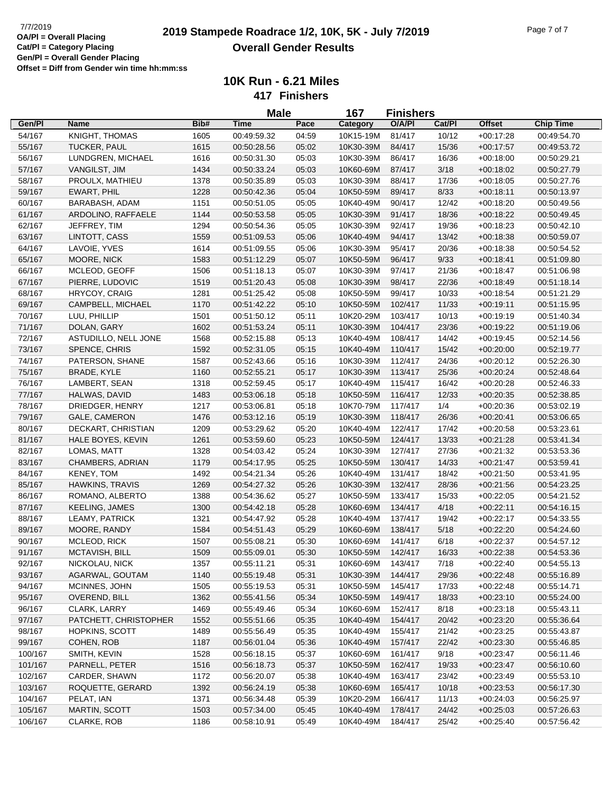## **2019 T/7/2019 Placing COMP Stampede Roadrace 1/2, 10K, 5K - July 7/2019** Page 7 of 7 **Overall Gender Results**

|         |                        |      | <b>Male</b> |       | 167<br><b>Finishers</b> |         |        |               |                  |
|---------|------------------------|------|-------------|-------|-------------------------|---------|--------|---------------|------------------|
| Gen/Pl  | Name                   | Bib# | Time        | Pace  | Category                | O/A/PI  | Cat/Pl | <b>Offset</b> | <b>Chip Time</b> |
| 54/167  | KNIGHT, THOMAS         | 1605 | 00:49:59.32 | 04:59 | 10K15-19M               | 81/417  | 10/12  | $+00:17:28$   | 00:49:54.70      |
| 55/167  | TUCKER, PAUL           | 1615 | 00:50:28.56 | 05:02 | 10K30-39M               | 84/417  | 15/36  | $+00:17:57$   | 00:49:53.72      |
| 56/167  | LUNDGREN, MICHAEL      | 1616 | 00:50:31.30 | 05:03 | 10K30-39M               | 86/417  | 16/36  | $+00:18:00$   | 00:50:29.21      |
| 57/167  | VANGILST, JIM          | 1434 | 00:50:33.24 | 05:03 | 10K60-69M               | 87/417  | 3/18   | $+00:18:02$   | 00:50:27.79      |
| 58/167  | PROULX, MATHIEU        | 1378 | 00:50:35.89 | 05:03 | 10K30-39M               | 88/417  | 17/36  | $+00:18:05$   | 00:50:27.76      |
| 59/167  | EWART, PHIL            | 1228 | 00:50:42.36 | 05:04 | 10K50-59M               | 89/417  | 8/33   | $+00:18:11$   | 00:50:13.97      |
| 60/167  | BARABASH, ADAM         | 1151 | 00:50:51.05 | 05:05 | 10K40-49M               | 90/417  | 12/42  | $+00:18:20$   | 00:50:49.56      |
| 61/167  | ARDOLINO, RAFFAELE     | 1144 | 00:50:53.58 | 05:05 | 10K30-39M               | 91/417  | 18/36  | $+00:18:22$   | 00:50:49.45      |
| 62/167  | JEFFREY, TIM           | 1294 | 00:50:54.36 | 05:05 | 10K30-39M               | 92/417  | 19/36  | $+00:18:23$   | 00:50:42.10      |
| 63/167  | LINTOTT, CASS          | 1559 | 00:51:09.53 | 05:06 | 10K40-49M               | 94/417  | 13/42  | $+00:18:38$   | 00:50:59.07      |
| 64/167  | LAVOIE, YVES           | 1614 | 00:51:09.55 | 05:06 | 10K30-39M               | 95/417  | 20/36  | $+00:18:38$   | 00:50:54.52      |
| 65/167  | MOORE, NICK            | 1583 | 00:51:12.29 | 05:07 | 10K50-59M               | 96/417  | 9/33   | $+00:18:41$   | 00:51:09.80      |
| 66/167  | MCLEOD, GEOFF          | 1506 | 00:51:18.13 | 05:07 | 10K30-39M               | 97/417  | 21/36  | $+00:18:47$   | 00:51:06.98      |
| 67/167  | PIERRE, LUDOVIC        | 1519 | 00:51:20.43 | 05:08 | 10K30-39M               | 98/417  | 22/36  | $+00:18:49$   | 00:51:18.14      |
| 68/167  | HRYCOY, CRAIG          | 1281 | 00:51:25.42 | 05:08 | 10K50-59M               | 99/417  | 10/33  | $+00:18:54$   | 00:51:21.29      |
| 69/167  | CAMPBELL, MICHAEL      | 1170 | 00:51:42.22 | 05:10 | 10K50-59M               | 102/417 | 11/33  | $+00:19:11$   | 00:51:15.95      |
| 70/167  | LUU, PHILLIP           | 1501 | 00:51:50.12 | 05:11 | 10K20-29M               | 103/417 | 10/13  | $+00:19:19$   | 00:51:40.34      |
| 71/167  | DOLAN, GARY            | 1602 | 00:51:53.24 | 05:11 | 10K30-39M               | 104/417 | 23/36  | $+00:19:22$   | 00:51:19.06      |
| 72/167  | ASTUDILLO, NELL JONE   | 1568 | 00:52:15.88 | 05:13 | 10K40-49M               | 108/417 | 14/42  | $+00:19:45$   | 00:52:14.56      |
| 73/167  | SPENCE, CHRIS          | 1592 | 00:52:31.05 | 05:15 | 10K40-49M               | 110/417 | 15/42  | $+00:20:00$   | 00:52:19.77      |
| 74/167  | PATERSON, SHANE        | 1587 | 00:52:43.66 | 05:16 | 10K30-39M               | 112/417 | 24/36  | $+00:20:12$   | 00:52:26.30      |
| 75/167  | <b>BRADE, KYLE</b>     | 1160 | 00:52:55.21 | 05:17 | 10K30-39M               | 113/417 | 25/36  | $+00:20:24$   | 00:52:48.64      |
| 76/167  | LAMBERT, SEAN          | 1318 | 00:52:59.45 | 05:17 | 10K40-49M               | 115/417 | 16/42  | $+00:20:28$   | 00:52:46.33      |
| 77/167  | HALWAS, DAVID          | 1483 | 00:53:06.18 | 05:18 | 10K50-59M               | 116/417 | 12/33  | $+00:20:35$   | 00:52:38.85      |
| 78/167  | DRIEDGER, HENRY        | 1217 | 00:53:06.81 | 05:18 | 10K70-79M               | 117/417 | 1/4    | $+00:20:36$   | 00:53:02.19      |
| 79/167  | <b>GALE, CAMERON</b>   | 1476 | 00:53:12.16 | 05:19 | 10K30-39M               | 118/417 | 26/36  | $+00.20.41$   | 00:53:06.65      |
| 80/167  | DECKART, CHRISTIAN     | 1209 | 00:53:29.62 | 05:20 | 10K40-49M               | 122/417 | 17/42  | $+00:20:58$   | 00:53:23.61      |
| 81/167  | HALE BOYES, KEVIN      | 1261 | 00:53:59.60 | 05:23 | 10K50-59M               | 124/417 | 13/33  | $+00:21:28$   | 00:53:41.34      |
| 82/167  | LOMAS, MATT            | 1328 | 00:54:03.42 | 05:24 | 10K30-39M               | 127/417 | 27/36  | $+00:21:32$   | 00:53:53.36      |
| 83/167  | CHAMBERS, ADRIAN       | 1179 | 00:54:17.95 | 05:25 | 10K50-59M               | 130/417 | 14/33  | $+00:21:47$   | 00:53:59.41      |
| 84/167  | KENEY, TOM             | 1492 | 00:54:21.34 | 05:26 | 10K40-49M               | 131/417 | 18/42  | $+00:21:50$   | 00:53:41.95      |
| 85/167  | <b>HAWKINS, TRAVIS</b> | 1269 | 00:54:27.32 | 05:26 | 10K30-39M               | 132/417 | 28/36  | $+00:21:56$   | 00:54:23.25      |
| 86/167  | ROMANO, ALBERTO        | 1388 | 00:54:36.62 | 05:27 | 10K50-59M               | 133/417 | 15/33  | $+00:22:05$   | 00:54:21.52      |
| 87/167  | <b>KEELING, JAMES</b>  | 1300 | 00:54:42.18 | 05:28 | 10K60-69M               | 134/417 | 4/18   | $+00:22:11$   | 00:54:16.15      |
| 88/167  | LEAMY, PATRICK         | 1321 | 00:54:47.92 | 05:28 | 10K40-49M               | 137/417 | 19/42  | $+00:22:17$   | 00:54:33.55      |
| 89/167  | MOORE, RANDY           | 1584 | 00:54:51.43 | 05:29 | 10K60-69M               | 138/417 | 5/18   | $+00:22:20$   | 00:54:24.60      |
| 90/167  | MCLEOD, RICK           | 1507 | 00:55:08.21 | 05:30 | 10K60-69M               | 141/417 | 6/18   | $+00:22:37$   | 00:54:57.12      |
| 91/167  | MCTAVISH, BILL         | 1509 | 00:55:09.01 | 05:30 | 10K50-59M               | 142/417 | 16/33  | $+00:22:38$   | 00:54:53.36      |
| 92/167  | NICKOLAU, NICK         | 1357 | 00:55:11.21 | 05:31 | 10K60-69M               | 143/417 | 7/18   | $+00:22:40$   | 00:54:55.13      |
| 93/167  | AGARWAL, GOUTAM        | 1140 | 00:55:19.48 | 05:31 | 10K30-39M               | 144/417 | 29/36  | $+00:22:48$   | 00:55:16.89      |
| 94/167  | MCINNES, JOHN          | 1505 | 00:55:19.53 | 05:31 | 10K50-59M               | 145/417 | 17/33  | $+00:22:48$   | 00:55:14.71      |
| 95/167  | OVEREND, BILL          | 1362 | 00:55:41.56 | 05:34 | 10K50-59M               | 149/417 | 18/33  | $+00:23:10$   | 00:55:24.00      |
| 96/167  | CLARK, LARRY           | 1469 | 00:55:49.46 | 05:34 | 10K60-69M               | 152/417 | 8/18   | $+00:23:18$   | 00:55:43.11      |
| 97/167  | PATCHETT, CHRISTOPHER  | 1552 | 00:55:51.66 | 05:35 | 10K40-49M               | 154/417 | 20/42  | $+00:23:20$   | 00:55:36.64      |
| 98/167  | HOPKINS, SCOTT         | 1489 | 00:55:56.49 | 05:35 | 10K40-49M               | 155/417 | 21/42  | $+00:23:25$   | 00:55:43.87      |
| 99/167  | COHEN, ROB             | 1187 | 00:56:01.04 | 05:36 | 10K40-49M               | 157/417 | 22/42  | $+00:23:30$   | 00:55:46.85      |
| 100/167 | SMITH, KEVIN           | 1528 | 00:56:18.15 | 05:37 | 10K60-69M               | 161/417 | 9/18   | $+00:23:47$   | 00:56:11.46      |
| 101/167 | PARNELL, PETER         | 1516 | 00:56:18.73 | 05:37 | 10K50-59M               | 162/417 | 19/33  | $+00:23:47$   | 00:56:10.60      |
| 102/167 | CARDER, SHAWN          | 1172 | 00:56:20.07 | 05:38 | 10K40-49M               | 163/417 | 23/42  | $+00:23:49$   | 00:55:53.10      |
| 103/167 | ROQUETTE, GERARD       | 1392 | 00:56:24.19 | 05:38 | 10K60-69M               | 165/417 | 10/18  | $+00:23:53$   | 00:56:17.30      |
| 104/167 | PELAT, IAN             | 1371 | 00:56:34.48 | 05:39 | 10K20-29M               | 166/417 | 11/13  | $+00:24:03$   | 00:56:25.97      |
| 105/167 | MARTIN, SCOTT          | 1503 | 00:57:34.00 | 05:45 | 10K40-49M               | 178/417 | 24/42  | $+00:25:03$   | 00:57:26.63      |
| 106/167 | CLARKE, ROB            | 1186 | 00:58:10.91 | 05:49 | 10K40-49M               | 184/417 | 25/42  | $+00:25:40$   | 00:57:56.42      |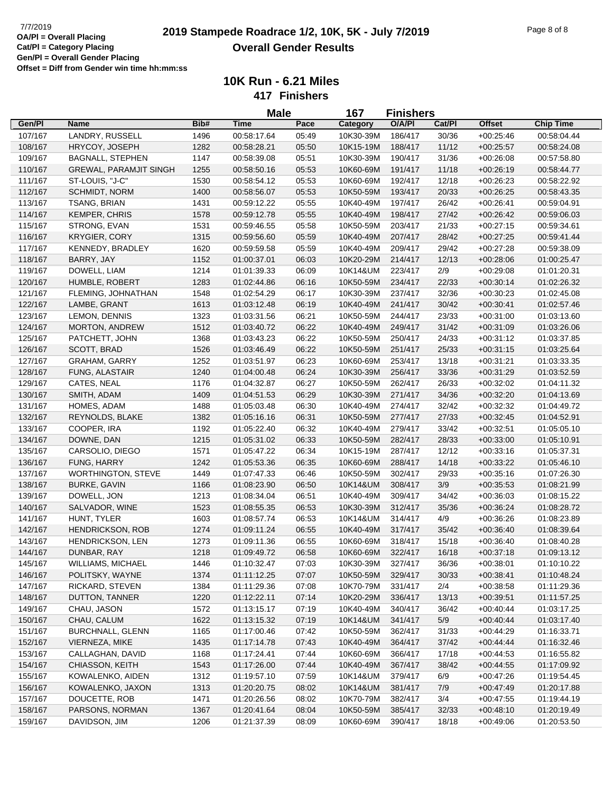## **2019 Stampede Roadrace 1/2, 10K, 5K - July 7/2019** 7/7/2019 Page 8 of 8 **Overall Gender Results**

|         |                               |      | <b>Male</b> |       | 167       | <b>Finishers</b> |        |               |                  |
|---------|-------------------------------|------|-------------|-------|-----------|------------------|--------|---------------|------------------|
| Gen/Pl  | <b>Name</b>                   | Bib# | <b>Time</b> | Pace  | Category  | O/A/PI           | Cat/Pl | <b>Offset</b> | <b>Chip Time</b> |
| 107/167 | LANDRY, RUSSELL               | 1496 | 00:58:17.64 | 05:49 | 10K30-39M | 186/417          | 30/36  | $+00:25:46$   | 00:58:04.44      |
| 108/167 | HRYCOY, JOSEPH                | 1282 | 00:58:28.21 | 05:50 | 10K15-19M | 188/417          | 11/12  | $+00:25:57$   | 00:58:24.08      |
| 109/167 | <b>BAGNALL, STEPHEN</b>       | 1147 | 00:58:39.08 | 05:51 | 10K30-39M | 190/417          | 31/36  | $+00:26:08$   | 00:57:58.80      |
| 110/167 | <b>GREWAL, PARAMJIT SINGH</b> | 1255 | 00:58:50.16 | 05:53 | 10K60-69M | 191/417          | 11/18  | $+00:26:19$   | 00:58:44.77      |
| 111/167 | ST-LOUIS, "J-C"               | 1530 | 00:58:54.12 | 05:53 | 10K60-69M | 192/417          | 12/18  | $+00:26:23$   | 00:58:22.92      |
| 112/167 | SCHMIDT, NORM                 | 1400 | 00:58:56.07 | 05:53 | 10K50-59M | 193/417          | 20/33  | $+00:26:25$   | 00:58:43.35      |
| 113/167 | TSANG, BRIAN                  | 1431 | 00:59:12.22 | 05:55 | 10K40-49M | 197/417          | 26/42  | $+00:26:41$   | 00:59:04.91      |
| 114/167 | <b>KEMPER, CHRIS</b>          | 1578 | 00:59:12.78 | 05:55 | 10K40-49M | 198/417          | 27/42  | $+00:26:42$   | 00:59:06.03      |
| 115/167 | STRONG, EVAN                  | 1531 | 00:59:46.55 | 05:58 | 10K50-59M | 203/417          | 21/33  | $+00:27:15$   | 00:59:34.61      |
| 116/167 | <b>KRYGIER, CORY</b>          | 1315 | 00:59:56.60 | 05:59 | 10K40-49M | 207/417          | 28/42  | $+00:27:25$   | 00:59:41.44      |
| 117/167 | KENNEDY, BRADLEY              | 1620 | 00:59:59.58 | 05:59 | 10K40-49M | 209/417          | 29/42  | $+00:27:28$   | 00:59:38.09      |
| 118/167 | BARRY, JAY                    | 1152 | 01:00:37.01 | 06:03 | 10K20-29M | 214/417          | 12/13  | $+00:28:06$   | 01:00:25.47      |
| 119/167 | DOWELL, LIAM                  | 1214 | 01:01:39.33 | 06:09 | 10K14&UM  | 223/417          | 2/9    | $+00:29:08$   | 01:01:20.31      |
| 120/167 | HUMBLE, ROBERT                | 1283 | 01:02:44.86 | 06:16 | 10K50-59M | 234/417          | 22/33  | $+00:30:14$   | 01:02:26.32      |
| 121/167 | FLEMING, JOHNATHAN            | 1548 | 01:02:54.29 | 06:17 | 10K30-39M | 237/417          | 32/36  | $+00:30:23$   | 01:02:45.08      |
| 122/167 | LAMBE, GRANT                  | 1613 | 01:03:12.48 | 06:19 | 10K40-49M | 241/417          | 30/42  | $+00:30:41$   | 01:02:57.46      |
| 123/167 | LEMON, DENNIS                 | 1323 | 01:03:31.56 | 06:21 | 10K50-59M | 244/417          | 23/33  | $+00.31:00$   | 01:03:13.60      |
| 124/167 | MORTON, ANDREW                | 1512 | 01:03:40.72 | 06:22 | 10K40-49M | 249/417          | 31/42  | $+00:31:09$   | 01:03:26.06      |
| 125/167 | PATCHETT, JOHN                | 1368 | 01:03:43.23 | 06:22 | 10K50-59M | 250/417          | 24/33  | $+00:31:12$   | 01:03:37.85      |
| 126/167 | SCOTT, BRAD                   | 1526 | 01:03:46.49 | 06:22 | 10K50-59M | 251/417          | 25/33  | $+00:31:15$   | 01:03:25.64      |
| 127/167 | <b>GRAHAM, GARRY</b>          | 1252 | 01:03:51.97 | 06:23 | 10K60-69M | 253/417          | 13/18  | $+00:31:21$   | 01:03:33.35      |
| 128/167 | FUNG, ALASTAIR                | 1240 | 01:04:00.48 | 06:24 | 10K30-39M | 256/417          | 33/36  | $+00:31:29$   | 01:03:52.59      |
| 129/167 | CATES, NEAL                   | 1176 | 01:04:32.87 | 06:27 | 10K50-59M | 262/417          | 26/33  | $+00:32:02$   | 01:04:11.32      |
| 130/167 | SMITH, ADAM                   | 1409 | 01:04:51.53 | 06:29 | 10K30-39M | 271/417          | 34/36  | $+00:32:20$   | 01:04:13.69      |
| 131/167 | HOMES, ADAM                   | 1488 | 01:05:03.48 | 06:30 | 10K40-49M | 274/417          | 32/42  | $+00:32:32$   | 01:04:49.72      |
| 132/167 | REYNOLDS, BLAKE               | 1382 | 01:05:16.16 | 06:31 | 10K50-59M | 277/417          | 27/33  | $+00:32:45$   | 01:04:52.91      |
| 133/167 | COOPER, IRA                   | 1192 | 01:05:22.40 | 06:32 | 10K40-49M | 279/417          | 33/42  | $+00:32:51$   | 01:05:05.10      |
| 134/167 | DOWNE, DAN                    | 1215 | 01:05:31.02 | 06:33 | 10K50-59M | 282/417          | 28/33  | $+00:33:00$   | 01:05:10.91      |
| 135/167 | CARSOLIO, DIEGO               | 1571 | 01:05:47.22 | 06:34 | 10K15-19M | 287/417          | 12/12  | $+00:33:16$   | 01:05:37.31      |
| 136/167 | FUNG, HARRY                   | 1242 | 01:05:53.36 | 06:35 | 10K60-69M | 288/417          | 14/18  | $+00:33:22$   | 01:05:46.10      |
| 137/167 | <b>WORTHINGTON, STEVE</b>     | 1449 | 01:07:47.33 | 06:46 | 10K50-59M | 302/417          | 29/33  | $+00:35:16$   | 01:07:26.30      |
| 138/167 | <b>BURKE, GAVIN</b>           | 1166 | 01:08:23.90 | 06:50 | 10K14&UM  | 308/417          | 3/9    | $+00.35.53$   | 01:08:21.99      |
| 139/167 | DOWELL, JON                   | 1213 | 01:08:34.04 | 06:51 | 10K40-49M | 309/417          | 34/42  | $+00:36:03$   | 01:08:15.22      |
| 140/167 | SALVADOR, WINE                | 1523 | 01:08:55.35 | 06:53 | 10K30-39M | 312/417          | 35/36  | $+00:36:24$   | 01:08:28.72      |
| 141/167 | HUNT, TYLER                   | 1603 | 01:08:57.74 | 06:53 | 10K14&UM  | 314/417          | 4/9    | $+00:36:26$   | 01:08:23.89      |
| 142/167 | <b>HENDRICKSON, ROB</b>       | 1274 | 01:09:11.24 | 06:55 | 10K40-49M | 317/417          | 35/42  | $+00:36:40$   | 01:08:39.64      |
| 143/167 | HENDRICKSON, LEN              | 1273 | 01:09:11.36 | 06:55 | 10K60-69M | 318/417          | 15/18  | $+00.36.40$   | 01:08:40.28      |
| 144/167 | DUNBAR, RAY                   | 1218 | 01:09:49.72 | 06:58 | 10K60-69M | 322/417          | 16/18  | $+00:37:18$   | 01:09:13.12      |
| 145/167 | WILLIAMS, MICHAEL             | 1446 | 01:10:32.47 | 07:03 | 10K30-39M | 327/417          | 36/36  | $+00:38:01$   | 01:10:10.22      |
| 146/167 | POLITSKY, WAYNE               | 1374 | 01:11:12.25 | 07:07 | 10K50-59M | 329/417          | 30/33  | $+00.38:41$   | 01:10:48.24      |
| 147/167 | RICKARD, STEVEN               | 1384 | 01:11:29.36 | 07:08 | 10K70-79M | 331/417          | 2/4    | $+00.38.58$   | 01:11:29.36      |
| 148/167 | DUTTON, TANNER                | 1220 | 01:12:22.11 | 07:14 | 10K20-29M | 336/417          | 13/13  | $+00:39:51$   | 01:11:57.25      |
| 149/167 | CHAU, JASON                   | 1572 | 01:13:15.17 | 07:19 | 10K40-49M | 340/417          | 36/42  | $+00:40:44$   | 01:03:17.25      |
| 150/167 | CHAU, CALUM                   | 1622 | 01:13:15.32 | 07:19 | 10K14&UM  | 341/417          | 5/9    | $+00:40:44$   | 01:03:17.40      |
| 151/167 | <b>BURCHNALL, GLENN</b>       | 1165 | 01:17:00.46 | 07:42 | 10K50-59M | 362/417          | 31/33  | $+00:44:29$   | 01:16:33.71      |
| 152/167 | VIERNEZA, MIKE                | 1435 | 01:17:14.78 | 07:43 | 10K40-49M | 364/417          | 37/42  | $+00:44:44$   | 01:16:32.46      |
| 153/167 | CALLAGHAN, DAVID              | 1168 | 01:17:24.41 | 07:44 | 10K60-69M | 366/417          | 17/18  | $+00.44:53$   | 01:16:55.82      |
| 154/167 | CHIASSON, KEITH               | 1543 | 01:17:26.00 | 07:44 | 10K40-49M | 367/417          | 38/42  | $+00:44:55$   | 01:17:09.92      |
| 155/167 | KOWALENKO, AIDEN              | 1312 | 01:19:57.10 | 07:59 | 10K14&UM  | 379/417          | 6/9    | $+00:47:26$   | 01:19:54.45      |
| 156/167 | KOWALENKO, JAXON              | 1313 | 01:20:20.75 | 08:02 | 10K14&UM  | 381/417          | 7/9    | $+00.47:49$   | 01:20:17.88      |
| 157/167 | DOUCETTE, ROB                 | 1471 | 01:20:26.56 | 08:02 | 10K70-79M | 382/417          | 3/4    | $+00:47:55$   | 01:19:44.19      |
| 158/167 | PARSONS, NORMAN               | 1367 | 01:20:41.64 | 08:04 | 10K50-59M | 385/417          | 32/33  | $+00:48:10$   | 01:20:19.49      |
| 159/167 | DAVIDSON, JIM                 | 1206 | 01:21:37.39 | 08:09 | 10K60-69M | 390/417          | 18/18  | $+00:49:06$   | 01:20:53.50      |